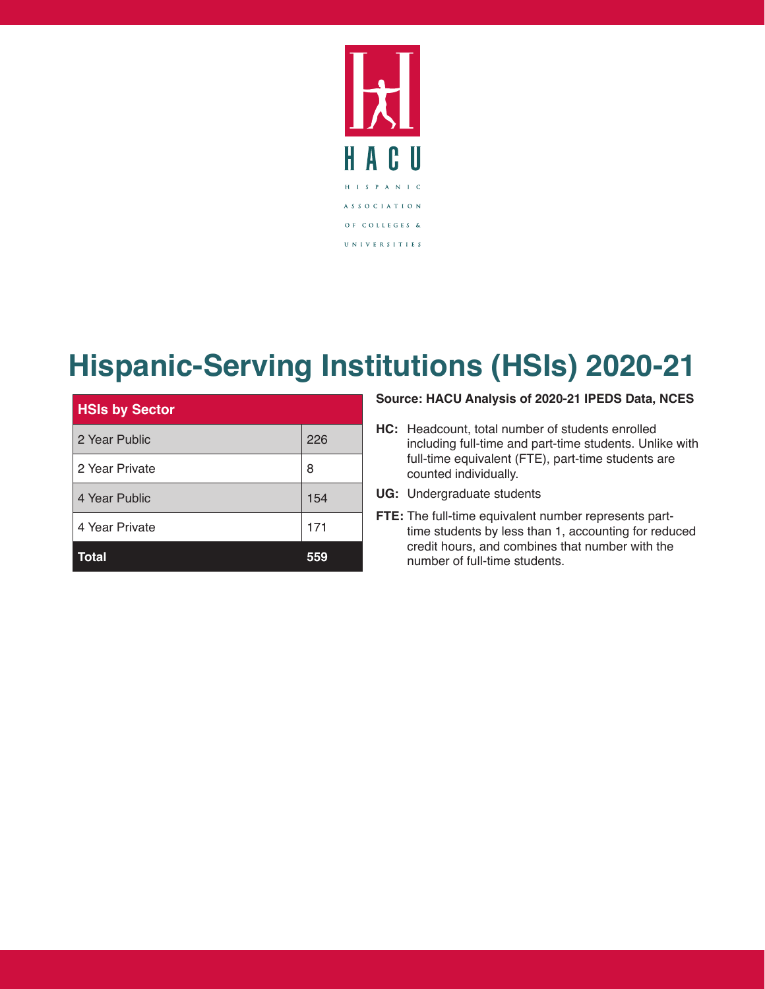

### **Hispanic-Serving Institutions (HSIs) 2020-21**

| <b>HSIs by Sector</b> |     |
|-----------------------|-----|
| 2 Year Public         | 226 |
| 2 Year Private        | 8   |
| 4 Year Public         | 154 |
| 4 Year Private        | 171 |
| Total                 |     |

#### **Source: HACU Analysis of 2020-21 IPEDS Data, NCES**

- **HC:** Headcount, total number of students enrolled including full-time and part-time students. Unlike with full-time equivalent (FTE), part-time students are counted individually.
- **UG:** Undergraduate students
- **FTE:** The full-time equivalent number represents parttime students by less than 1, accounting for reduced credit hours, and combines that number with the number of full-time students.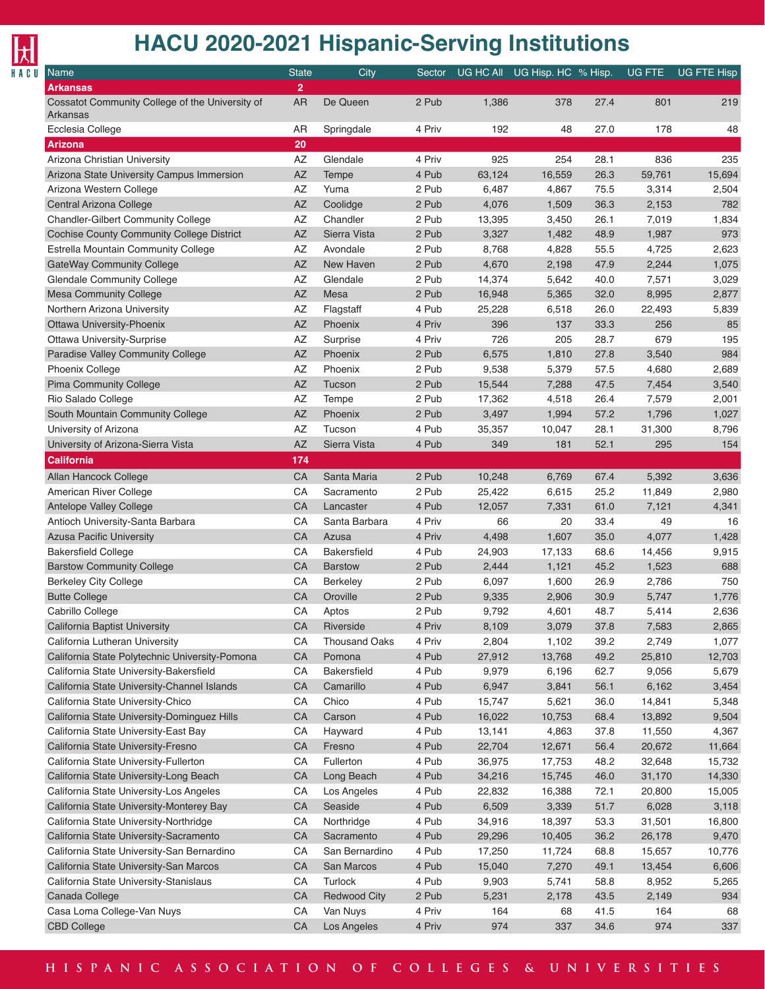

| Name                                                        | <b>State</b>   | City                 | Sector |        | UG HC All UG Hisp. HC % Hisp. |      | <b>UG FTE</b> | <b>UG FTE Hisp</b> |
|-------------------------------------------------------------|----------------|----------------------|--------|--------|-------------------------------|------|---------------|--------------------|
| <b>Arkansas</b>                                             | $\overline{2}$ |                      |        |        |                               |      |               |                    |
| Cossatot Community College of the University of<br>Arkansas | <b>AR</b>      | De Queen             | 2 Pub  | 1,386  | 378                           | 27.4 | 801           | 219                |
| Ecclesia College                                            | AR             | Springdale           | 4 Priv | 192    | 48                            | 27.0 | 178           | 48                 |
| <b>Arizona</b>                                              | 20             |                      |        |        |                               |      |               |                    |
| Arizona Christian University                                | AZ             | Glendale             | 4 Priv | 925    | 254                           | 28.1 | 836           | 235                |
| Arizona State University Campus Immersion                   | AZ             | Tempe                | 4 Pub  | 63,124 | 16,559                        | 26.3 | 59,761        | 15,694             |
| Arizona Western College                                     | AZ             | Yuma                 | 2 Pub  | 6,487  | 4,867                         | 75.5 | 3,314         | 2,504              |
| Central Arizona College                                     | <b>AZ</b>      | Coolidge             | 2 Pub  | 4,076  | 1,509                         | 36.3 | 2,153         | 782                |
| <b>Chandler-Gilbert Community College</b>                   | AZ             | Chandler             | 2 Pub  | 13,395 | 3,450                         | 26.1 | 7,019         | 1,834              |
| <b>Cochise County Community College District</b>            | <b>AZ</b>      | Sierra Vista         | 2 Pub  | 3,327  | 1,482                         | 48.9 | 1,987         | 973                |
| Estrella Mountain Community College                         | AZ             | Avondale             | 2 Pub  | 8,768  | 4,828                         | 55.5 | 4,725         | 2,623              |
| <b>GateWay Community College</b>                            | <b>AZ</b>      | New Haven            | 2 Pub  | 4,670  | 2,198                         | 47.9 | 2,244         | 1,075              |
| <b>Glendale Community College</b>                           | AZ             | Glendale             | 2 Pub  | 14,374 | 5,642                         | 40.0 | 7,571         | 3,029              |
| <b>Mesa Community College</b>                               | <b>AZ</b>      | Mesa                 | 2 Pub  | 16,948 | 5,365                         | 32.0 | 8,995         | 2,877              |
| Northern Arizona University                                 | AZ             | Flagstaff            | 4 Pub  | 25,228 | 6,518                         | 26.0 | 22,493        | 5,839              |
| Ottawa University-Phoenix                                   | <b>AZ</b>      | Phoenix              | 4 Priv | 396    | 137                           | 33.3 | 256           | 85                 |
| <b>Ottawa University-Surprise</b>                           | AZ             | Surprise             | 4 Priv | 726    | 205                           | 28.7 | 679           | 195                |
| Paradise Valley Community College                           | <b>AZ</b>      | Phoenix              | 2 Pub  | 6,575  | 1,810                         | 27.8 | 3,540         | 984                |
| <b>Phoenix College</b>                                      | AZ             | Phoenix              | 2 Pub  | 9,538  | 5,379                         | 57.5 | 4,680         | 2,689              |
| <b>Pima Community College</b>                               | <b>AZ</b>      | Tucson               | 2 Pub  | 15,544 | 7,288                         | 47.5 | 7,454         | 3,540              |
| Rio Salado College                                          | AZ             | Tempe                | 2 Pub  | 17,362 | 4,518                         | 26.4 | 7,579         | 2,001              |
| South Mountain Community College                            | <b>AZ</b>      | Phoenix              | 2 Pub  | 3,497  | 1,994                         | 57.2 | 1,796         | 1,027              |
| University of Arizona                                       | AZ             | Tucson               | 4 Pub  | 35,357 | 10,047                        | 28.1 | 31,300        | 8,796              |
| University of Arizona-Sierra Vista                          | <b>AZ</b>      | Sierra Vista         | 4 Pub  | 349    | 181                           | 52.1 | 295           | 154                |
| <b>California</b>                                           | 174            |                      |        |        |                               |      |               |                    |
| Allan Hancock College                                       | CA             | Santa Maria          | 2 Pub  | 10,248 | 6,769                         | 67.4 | 5,392         | 3,636              |
| American River College                                      | CA             | Sacramento           | 2 Pub  | 25,422 | 6,615                         | 25.2 | 11,849        | 2,980              |
| <b>Antelope Valley College</b>                              | CA             | Lancaster            | 4 Pub  | 12,057 | 7,331                         | 61.0 | 7,121         | 4,341              |
| Antioch University-Santa Barbara                            | CA             | Santa Barbara        | 4 Priv | 66     | 20                            | 33.4 | 49            | 16                 |
| <b>Azusa Pacific University</b>                             | CA             | Azusa                | 4 Priv | 4,498  | 1,607                         | 35.0 | 4,077         | 1,428              |
| <b>Bakersfield College</b>                                  | CA             | <b>Bakersfield</b>   | 4 Pub  | 24,903 | 17,133                        | 68.6 | 14,456        | 9,915              |
| <b>Barstow Community College</b>                            | CA             | <b>Barstow</b>       | 2 Pub  | 2,444  | 1,121                         | 45.2 | 1,523         | 688                |
| <b>Berkeley City College</b>                                | CA             | Berkeley             | 2 Pub  | 6,097  | 1,600                         | 26.9 | 2,786         | 750                |
| <b>Butte College</b>                                        | CA             | Oroville             | 2 Pub  | 9,335  | 2,906                         | 30.9 | 5,747         | 1,776              |
| Cabrillo College                                            | CA             | Aptos                | 2 Pub  | 9,792  | 4,601                         | 48.7 | 5,414         | 2,636              |
| California Baptist University                               | СA             | Riverside            | 4 Priv | 8,109  | 3,079                         | 37.8 | 7,583         | 2,865              |
| California Lutheran University                              | CA             | <b>Thousand Oaks</b> | 4 Priv | 2,804  | 1,102                         | 39.2 | 2,749         | 1,077              |
| California State Polytechnic University-Pomona              | CA             | Pomona               | 4 Pub  | 27,912 | 13,768                        | 49.2 | 25,810        | 12,703             |
| California State University-Bakersfield                     | CA             | Bakersfield          | 4 Pub  | 9,979  | 6,196                         | 62.7 | 9,056         | 5,679              |
| California State University-Channel Islands                 | CA             | Camarillo            | 4 Pub  | 6,947  | 3,841                         | 56.1 | 6,162         | 3,454              |
| California State University-Chico                           | CA             | Chico                | 4 Pub  | 15,747 | 5,621                         | 36.0 | 14,841        | 5,348              |
| California State University-Dominguez Hills                 | CA             | Carson               | 4 Pub  | 16,022 | 10,753                        | 68.4 | 13,892        | 9,504              |
| California State University-East Bay                        | CA             | Hayward              | 4 Pub  | 13,141 | 4,863                         | 37.8 | 11,550        | 4,367              |
| California State University-Fresno                          | CA             | Fresno               | 4 Pub  | 22,704 | 12,671                        | 56.4 | 20,672        | 11,664             |
| California State University-Fullerton                       | CA             | Fullerton            | 4 Pub  | 36,975 | 17,753                        | 48.2 | 32,648        | 15,732             |
| California State University-Long Beach                      | CA             | Long Beach           | 4 Pub  | 34,216 | 15,745                        | 46.0 | 31,170        | 14,330             |
| California State University-Los Angeles                     | CA             | Los Angeles          | 4 Pub  | 22,832 | 16,388                        | 72.1 | 20,800        | 15,005             |
| California State University-Monterey Bay                    | CA             | Seaside              | 4 Pub  | 6,509  | 3,339                         | 51.7 | 6,028         | 3,118              |
| California State University-Northridge                      | CA             | Northridge           | 4 Pub  | 34,916 | 18,397                        | 53.3 | 31,501        | 16,800             |
| California State University-Sacramento                      | CA             | Sacramento           | 4 Pub  | 29,296 | 10,405                        | 36.2 | 26,178        | 9,470              |
| California State University-San Bernardino                  | CA             | San Bernardino       | 4 Pub  | 17,250 | 11,724                        | 68.8 | 15,657        | 10,776             |
| California State University-San Marcos                      | CA             | San Marcos           | 4 Pub  | 15,040 | 7,270                         | 49.1 | 13,454        | 6,606              |
| California State University-Stanislaus                      | CA             | Turlock              | 4 Pub  | 9,903  | 5,741                         | 58.8 | 8,952         | 5,265              |
| Canada College                                              | CA             | <b>Redwood City</b>  | 2 Pub  | 5,231  | 2,178                         | 43.5 | 2,149         | 934                |
| Casa Loma College-Van Nuys                                  | CA             | Van Nuys             | 4 Priv | 164    | 68                            | 41.5 | 164           | 68                 |
| <b>CBD College</b>                                          | CA             | Los Angeles          | 4 Priv | 974    | 337                           | 34.6 | 974           | 337                |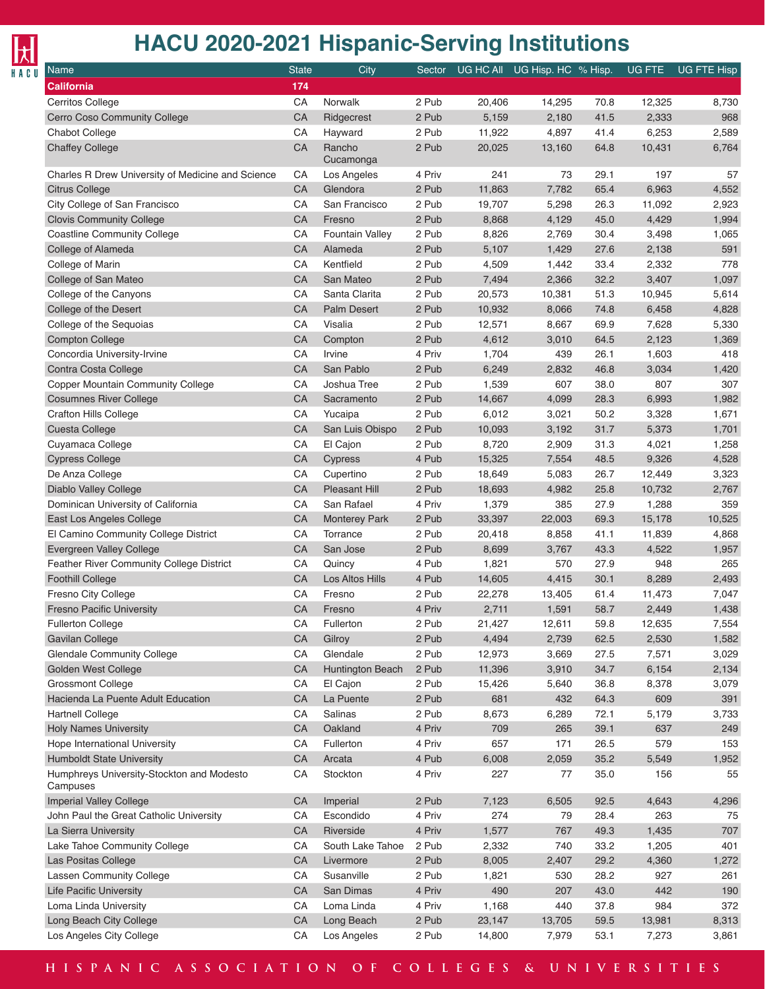

| <b>Name</b>                                           | <b>State</b> | City                 | Sector |        | UG HC All UG Hisp. HC % Hisp. |      | UG FTE | <b>UG FTE Hisp</b> |
|-------------------------------------------------------|--------------|----------------------|--------|--------|-------------------------------|------|--------|--------------------|
| <b>California</b>                                     | 174          |                      |        |        |                               |      |        |                    |
| Cerritos College                                      | CA           | Norwalk              | 2 Pub  | 20,406 | 14,295                        | 70.8 | 12,325 | 8,730              |
| Cerro Coso Community College                          | CA           | Ridgecrest           | 2 Pub  | 5,159  | 2,180                         | 41.5 | 2,333  | 968                |
| Chabot College                                        | CA           | Hayward              | 2 Pub  | 11,922 | 4,897                         | 41.4 | 6,253  | 2,589              |
| <b>Chaffey College</b>                                | CA           | Rancho<br>Cucamonga  | 2 Pub  | 20,025 | 13,160                        | 64.8 | 10,431 | 6,764              |
| Charles R Drew University of Medicine and Science     | СA           | Los Angeles          | 4 Priv | 241    | 73                            | 29.1 | 197    | 57                 |
| <b>Citrus College</b>                                 | CA           | Glendora             | 2 Pub  | 11,863 | 7,782                         | 65.4 | 6,963  | 4,552              |
| City College of San Francisco                         | CA           | San Francisco        | 2 Pub  | 19,707 | 5,298                         | 26.3 | 11,092 | 2,923              |
| <b>Clovis Community College</b>                       | CA           | Fresno               | 2 Pub  | 8,868  | 4,129                         | 45.0 | 4,429  | 1,994              |
| <b>Coastline Community College</b>                    | CA           | Fountain Valley      | 2 Pub  | 8,826  | 2,769                         | 30.4 | 3,498  | 1,065              |
| College of Alameda                                    | CA           | Alameda              | 2 Pub  | 5,107  | 1,429                         | 27.6 | 2,138  | 591                |
| College of Marin                                      | CA           | Kentfield            | 2 Pub  | 4,509  | 1,442                         | 33.4 | 2,332  | 778                |
| College of San Mateo                                  | CA           | San Mateo            | 2 Pub  | 7,494  | 2,366                         | 32.2 | 3,407  | 1,097              |
| College of the Canyons                                | CA           | Santa Clarita        | 2 Pub  | 20,573 | 10,381                        | 51.3 | 10,945 | 5,614              |
| College of the Desert                                 | CA           | <b>Palm Desert</b>   | 2 Pub  | 10,932 | 8,066                         | 74.8 | 6,458  | 4,828              |
| College of the Sequoias                               | CA           | Visalia              | 2 Pub  | 12,571 | 8,667                         | 69.9 | 7,628  | 5,330              |
| <b>Compton College</b>                                | CA           | Compton              | 2 Pub  | 4,612  | 3,010                         | 64.5 | 2,123  | 1,369              |
| Concordia University-Irvine                           | CA           | Irvine               | 4 Priv | 1,704  | 439                           | 26.1 | 1,603  | 418                |
| Contra Costa College                                  | CA           | San Pablo            | 2 Pub  | 6,249  | 2,832                         | 46.8 | 3,034  | 1,420              |
| Copper Mountain Community College                     | CA           | Joshua Tree          | 2 Pub  | 1,539  | 607                           | 38.0 | 807    | 307                |
| <b>Cosumnes River College</b>                         | CA           | Sacramento           | 2 Pub  | 14,667 | 4,099                         | 28.3 | 6,993  | 1,982              |
| <b>Crafton Hills College</b>                          | CA           | Yucaipa              | 2 Pub  | 6,012  | 3,021                         | 50.2 | 3,328  | 1,671              |
|                                                       | CA           | San Luis Obispo      | 2 Pub  | 10,093 |                               | 31.7 | 5,373  | 1,701              |
| Cuesta College                                        |              |                      |        |        | 3,192                         |      |        |                    |
| Cuyamaca College                                      | CA<br>CA     | El Cajon             | 2 Pub  | 8,720  | 2,909                         | 31.3 | 4,021  | 1,258              |
| <b>Cypress College</b>                                |              | Cypress              | 4 Pub  | 15,325 | 7,554                         | 48.5 | 9,326  | 4,528              |
| De Anza College                                       | CA           | Cupertino            | 2 Pub  | 18,649 | 5,083                         | 26.7 | 12,449 | 3,323              |
| Diablo Valley College                                 | CA           | Pleasant Hill        | 2 Pub  | 18,693 | 4,982                         | 25.8 | 10,732 | 2,767              |
| Dominican University of California                    | CA           | San Rafael           | 4 Priv | 1,379  | 385                           | 27.9 | 1,288  | 359                |
| East Los Angeles College                              | CA           | <b>Monterey Park</b> | 2 Pub  | 33,397 | 22,003                        | 69.3 | 15,178 | 10,525             |
| El Camino Community College District                  | CA           | Torrance             | 2 Pub  | 20,418 | 8,858                         | 41.1 | 11,839 | 4,868              |
| Evergreen Valley College                              | CA           | San Jose             | 2 Pub  | 8,699  | 3,767                         | 43.3 | 4,522  | 1,957              |
| Feather River Community College District              | CA           | Quincy               | 4 Pub  | 1,821  | 570                           | 27.9 | 948    | 265                |
| <b>Foothill College</b>                               | CA           | Los Altos Hills      | 4 Pub  | 14,605 | 4,415                         | 30.1 | 8,289  | 2,493              |
| Fresno City College                                   | CA           | Fresno               | 2 Pub  | 22,278 | 13,405                        | 61.4 | 11,473 | 7,047              |
| <b>Fresno Pacific University</b>                      | CA           | Fresno               | 4 Priv | 2,711  | 1,591                         | 58.7 | 2,449  | 1,438              |
| Fullerton College                                     | CA           | Fullerton            | 2 Pub  | 21,427 | 12,611                        | 59.8 | 12,635 | 7,554              |
| Gavilan College                                       | CA           | Gilroy               | 2 Pub  | 4,494  | 2,739                         | 62.5 | 2,530  | 1,582              |
| <b>Glendale Community College</b>                     | CA           | Glendale             | 2 Pub  | 12,973 | 3,669                         | 27.5 | 7,571  | 3,029              |
| Golden West College                                   | CA           | Huntington Beach     | 2 Pub  | 11,396 | 3,910                         | 34.7 | 6,154  | 2,134              |
| Grossmont College                                     | CA           | El Cajon             | 2 Pub  | 15,426 | 5,640                         | 36.8 | 8,378  | 3,079              |
| Hacienda La Puente Adult Education                    | CA           | La Puente            | 2 Pub  | 681    | 432                           | 64.3 | 609    | 391                |
| Hartnell College                                      | CA           | Salinas              | 2 Pub  | 8,673  | 6,289                         | 72.1 | 5,179  | 3,733              |
| <b>Holy Names University</b>                          | CA           | Oakland              | 4 Priv | 709    | 265                           | 39.1 | 637    | 249                |
| Hope International University                         | CA           | Fullerton            | 4 Priv | 657    | 171                           | 26.5 | 579    | 153                |
| <b>Humboldt State University</b>                      | CA           | Arcata               | 4 Pub  | 6,008  | 2,059                         | 35.2 | 5,549  | 1,952              |
| Humphreys University-Stockton and Modesto<br>Campuses | CA           | Stockton             | 4 Priv | 227    | 77                            | 35.0 | 156    | 55                 |
| <b>Imperial Valley College</b>                        | CA           | Imperial             | 2 Pub  | 7,123  | 6,505                         | 92.5 | 4,643  | 4,296              |
| John Paul the Great Catholic University               | CA           | Escondido            | 4 Priv | 274    | 79                            | 28.4 | 263    | 75                 |
| La Sierra University                                  | CA           | Riverside            | 4 Priv | 1,577  | 767                           | 49.3 | 1,435  | 707                |
| Lake Tahoe Community College                          | CA           | South Lake Tahoe     | 2 Pub  | 2,332  | 740                           | 33.2 | 1,205  | 401                |
| Las Positas College                                   | CA           | Livermore            | 2 Pub  | 8,005  | 2,407                         | 29.2 | 4,360  | 1,272              |
| <b>Lassen Community College</b>                       | CA           | Susanville           | 2 Pub  | 1,821  | 530                           | 28.2 | 927    | 261                |
| <b>Life Pacific University</b>                        | CA           | San Dimas            | 4 Priv | 490    | 207                           | 43.0 | 442    | 190                |
| Loma Linda University                                 | CA           | Loma Linda           | 4 Priv | 1,168  | 440                           | 37.8 | 984    | 372                |
| Long Beach City College                               | CA           | Long Beach           | 2 Pub  | 23,147 | 13,705                        | 59.5 | 13,981 | 8,313              |
| Los Angeles City College                              | CA           | Los Angeles          | 2 Pub  | 14,800 | 7,979                         | 53.1 | 7,273  | 3,861              |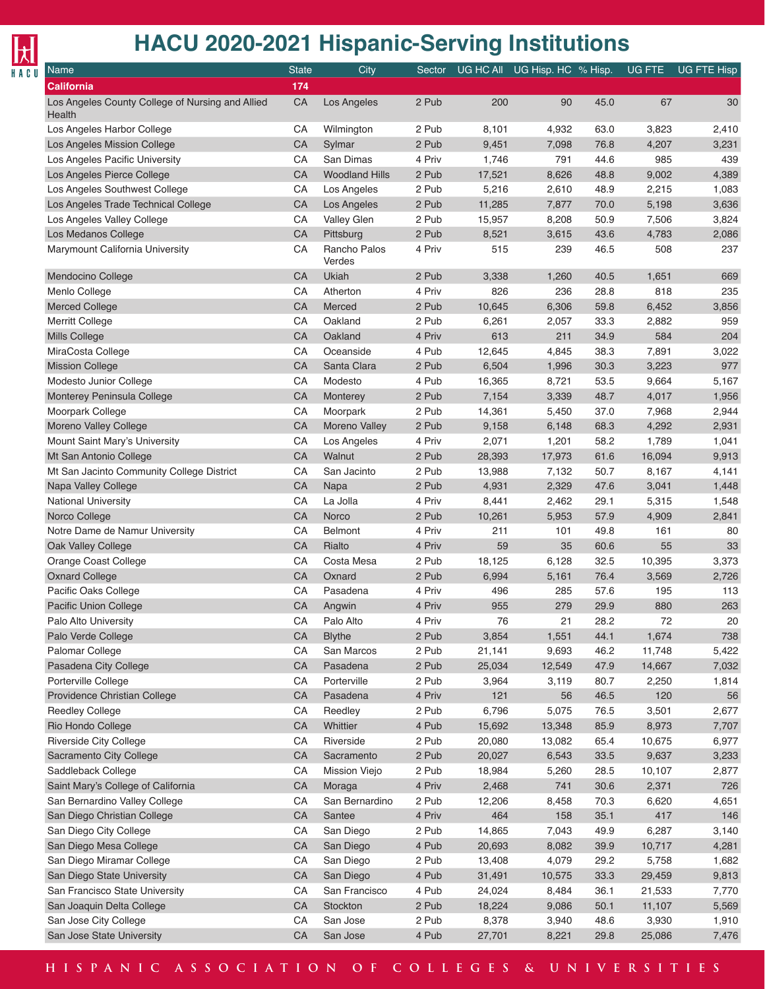

| <b>Name</b>                                                | <b>State</b> | City                   | Sector |        | UG HC All UG Hisp. HC % Hisp. |      | UG FTE | <b>UG FTE Hisp</b> |
|------------------------------------------------------------|--------------|------------------------|--------|--------|-------------------------------|------|--------|--------------------|
| California                                                 | 174          |                        |        |        |                               |      |        |                    |
| Los Angeles County College of Nursing and Allied<br>Health | CA           | Los Angeles            | 2 Pub  | 200    | 90                            | 45.0 | 67     | 30                 |
| Los Angeles Harbor College                                 | СA           | Wilmington             | 2 Pub  | 8,101  | 4,932                         | 63.0 | 3,823  | 2,410              |
| Los Angeles Mission College                                | CA           | Sylmar                 | 2 Pub  | 9,451  | 7,098                         | 76.8 | 4,207  | 3,231              |
| Los Angeles Pacific University                             | CA           | San Dimas              | 4 Priv | 1,746  | 791                           | 44.6 | 985    | 439                |
| Los Angeles Pierce College                                 | CA           | <b>Woodland Hills</b>  | 2 Pub  | 17,521 | 8,626                         | 48.8 | 9,002  | 4,389              |
| Los Angeles Southwest College                              | CA           | Los Angeles            | 2 Pub  | 5,216  | 2,610                         | 48.9 | 2,215  | 1,083              |
| Los Angeles Trade Technical College                        | CA           | Los Angeles            | 2 Pub  | 11,285 | 7,877                         | 70.0 | 5,198  | 3,636              |
| Los Angeles Valley College                                 | CA           | Valley Glen            | 2 Pub  | 15,957 | 8,208                         | 50.9 | 7,506  | 3,824              |
| Los Medanos College                                        | CA           | Pittsburg              | 2 Pub  | 8,521  | 3,615                         | 43.6 | 4,783  | 2,086              |
| Marymount California University                            | CA           | Rancho Palos<br>Verdes | 4 Priv | 515    | 239                           | 46.5 | 508    | 237                |
| Mendocino College                                          | CA           | Ukiah                  | 2 Pub  | 3,338  | 1,260                         | 40.5 | 1,651  | 669                |
| Menlo College                                              | CA           | Atherton               | 4 Priv | 826    | 236                           | 28.8 | 818    | 235                |
| <b>Merced College</b>                                      | CA           | Merced                 | 2 Pub  | 10,645 | 6,306                         | 59.8 | 6,452  | 3,856              |
| Merritt College                                            | CA           | Oakland                | 2 Pub  | 6,261  | 2,057                         | 33.3 | 2,882  | 959                |
| Mills College                                              | CA           | Oakland                | 4 Priv | 613    | 211                           | 34.9 | 584    | 204                |
| MiraCosta College                                          | CA           | Oceanside              | 4 Pub  | 12,645 | 4,845                         | 38.3 | 7,891  | 3,022              |
| <b>Mission College</b>                                     | CA           | Santa Clara            | 2 Pub  | 6,504  | 1,996                         | 30.3 | 3,223  | 977                |
| Modesto Junior College                                     | CA           | Modesto                | 4 Pub  | 16,365 | 8,721                         | 53.5 | 9,664  | 5,167              |
| Monterey Peninsula College                                 | CA           | Monterey               | 2 Pub  | 7,154  | 3,339                         | 48.7 | 4,017  | 1,956              |
| Moorpark College                                           | CA           | Moorpark               | 2 Pub  | 14,361 | 5,450                         | 37.0 | 7,968  | 2,944              |
| Moreno Valley College                                      | CA           | Moreno Valley          | 2 Pub  | 9,158  | 6,148                         | 68.3 | 4,292  | 2,931              |
| Mount Saint Mary's University                              | CA           | Los Angeles            | 4 Priv | 2,071  | 1,201                         | 58.2 | 1,789  | 1,041              |
| Mt San Antonio College                                     | CA           | Walnut                 | 2 Pub  | 28,393 | 17,973                        | 61.6 | 16,094 | 9,913              |
| Mt San Jacinto Community College District                  | CA           | San Jacinto            | 2 Pub  | 13,988 | 7,132                         | 50.7 | 8,167  | 4,141              |
| Napa Valley College                                        | CA           | Napa                   | 2 Pub  | 4,931  | 2,329                         | 47.6 | 3,041  | 1,448              |
| National University                                        | CA           | La Jolla               | 4 Priv | 8,441  | 2,462                         | 29.1 | 5,315  | 1,548              |
| Norco College                                              | CA           | Norco                  | 2 Pub  | 10,261 | 5,953                         | 57.9 | 4,909  | 2,841              |
| Notre Dame de Namur University                             | CA           | <b>Belmont</b>         | 4 Priv | 211    | 101                           | 49.8 | 161    | 80                 |
| Oak Valley College                                         | CA           | Rialto                 | 4 Priv | 59     | 35                            | 60.6 | 55     | 33                 |
| Orange Coast College                                       | CA           | Costa Mesa             | 2 Pub  | 18,125 | 6,128                         | 32.5 | 10,395 | 3,373              |
| <b>Oxnard College</b>                                      | CA           | Oxnard                 | 2 Pub  | 6,994  | 5,161                         | 76.4 | 3,569  | 2,726              |
| Pacific Oaks College                                       | CA           | Pasadena               | 4 Priv | 496    | 285                           | 57.6 | 195    | 113                |
| <b>Pacific Union College</b>                               | CA           | Angwin                 | 4 Priv | 955    | 279                           | 29.9 | 880    | 263                |
| Palo Alto University                                       | CA           | Palo Alto              | 4 Priv | 76     | 21                            | 28.2 | 72     | 20                 |
| Palo Verde College                                         | CA           | <b>Blythe</b>          | 2 Pub  | 3,854  | 1,551                         | 44.1 | 1,674  | 738                |
| Palomar College                                            | CA           | San Marcos             | 2 Pub  | 21,141 | 9,693                         | 46.2 | 11,748 | 5,422              |
| Pasadena City College                                      | CA           | Pasadena               | 2 Pub  | 25,034 | 12,549                        | 47.9 | 14,667 | 7,032              |
| Porterville College                                        | CA           | Porterville            | 2 Pub  | 3,964  | 3,119                         | 80.7 | 2,250  | 1,814              |
| Providence Christian College                               | CA           | Pasadena               | 4 Priv | 121    | 56                            | 46.5 | 120    | 56                 |
| Reedley College                                            | CA           | Reedley                | 2 Pub  | 6,796  | 5,075                         | 76.5 | 3,501  | 2,677              |
| Rio Hondo College                                          | CA           | Whittier               | 4 Pub  | 15,692 | 13,348                        | 85.9 | 8,973  | 7,707              |
| Riverside City College                                     | CA           | Riverside              | 2 Pub  | 20,080 | 13,082                        | 65.4 | 10,675 | 6,977              |
| Sacramento City College                                    | CA           | Sacramento             | 2 Pub  | 20,027 | 6,543                         | 33.5 | 9,637  | 3,233              |
| Saddleback College                                         | CA           | Mission Viejo          | 2 Pub  | 18,984 | 5,260                         | 28.5 | 10,107 | 2,877              |
| Saint Mary's College of California                         | CA           | Moraga                 | 4 Priv | 2,468  | 741                           | 30.6 | 2,371  | 726                |
| San Bernardino Valley College                              | CA           | San Bernardino         | 2 Pub  | 12,206 | 8,458                         | 70.3 | 6,620  | 4,651              |
| San Diego Christian College                                | CA           | Santee                 | 4 Priv | 464    | 158                           | 35.1 | 417    | 146                |
| San Diego City College                                     | CA           | San Diego              | 2 Pub  | 14,865 | 7,043                         | 49.9 | 6,287  | 3,140              |
| San Diego Mesa College                                     | CA           | San Diego              | 4 Pub  | 20,693 | 8,082                         | 39.9 | 10,717 | 4,281              |
| San Diego Miramar College                                  | CA           | San Diego              | 2 Pub  | 13,408 | 4,079                         | 29.2 | 5,758  | 1,682              |
| San Diego State University                                 | CA           | San Diego              | 4 Pub  | 31,491 | 10,575                        | 33.3 | 29,459 | 9,813              |
| San Francisco State University                             | CA           | San Francisco          | 4 Pub  | 24,024 | 8,484                         | 36.1 | 21,533 | 7,770              |
| San Joaquin Delta College                                  | CA           | Stockton               | 2 Pub  | 18,224 | 9,086                         | 50.1 | 11,107 | 5,569              |
| San Jose City College                                      | CA           | San Jose               | 2 Pub  | 8,378  | 3,940                         | 48.6 | 3,930  | 1,910              |
| San Jose State University                                  | CA           | San Jose               | 4 Pub  | 27,701 | 8,221                         | 29.8 | 25,086 | 7,476              |
|                                                            |              |                        |        |        |                               |      |        |                    |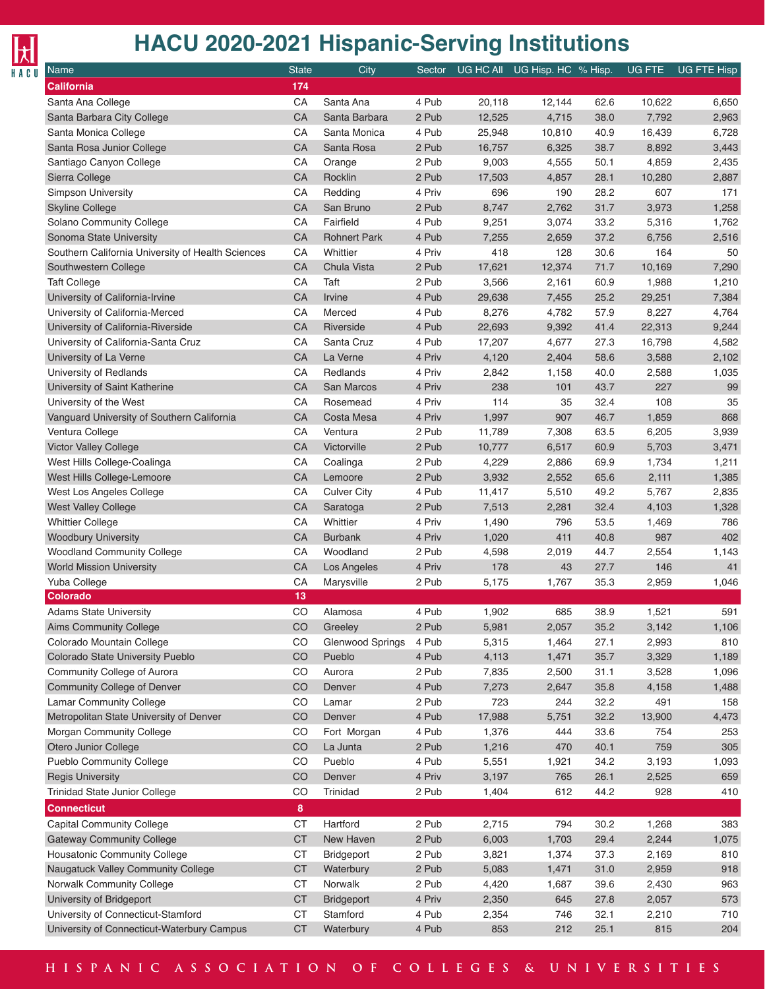# $\frac{1}{\frac{1}{\frac{1}{\pi}}\prod_{i=1}^{n}$

| Name                                              | <b>State</b> | City                   | Sector         |        | UG HC All UG Hisp. HC % Hisp. |      | UG FTE         | UG FTE Hisp |
|---------------------------------------------------|--------------|------------------------|----------------|--------|-------------------------------|------|----------------|-------------|
| <b>California</b>                                 | 174          |                        |                |        |                               |      |                |             |
| Santa Ana College                                 | CA           | Santa Ana              | 4 Pub          | 20,118 | 12,144                        | 62.6 | 10,622         | 6,650       |
| Santa Barbara City College                        | CA           | Santa Barbara          | 2 Pub          | 12,525 | 4,715                         | 38.0 | 7,792          | 2,963       |
| Santa Monica College                              | CA           | Santa Monica           | 4 Pub          | 25,948 | 10,810                        | 40.9 | 16,439         | 6,728       |
| Santa Rosa Junior College                         | CA           | Santa Rosa             | 2 Pub          | 16,757 | 6,325                         | 38.7 | 8,892          | 3,443       |
| Santiago Canyon College                           | CA           | Orange                 | 2 Pub          | 9,003  | 4,555                         | 50.1 | 4,859          | 2,435       |
| Sierra College                                    | CA           | Rocklin                | 2 Pub          | 17,503 | 4,857                         | 28.1 | 10,280         | 2,887       |
| <b>Simpson University</b>                         | CA           | Redding                | 4 Priv         | 696    | 190                           | 28.2 | 607            | 171         |
| <b>Skyline College</b>                            | CA           | San Bruno              | 2 Pub          | 8,747  | 2,762                         | 31.7 | 3,973          | 1,258       |
| Solano Community College                          | CA           | Fairfield              | 4 Pub          | 9,251  | 3,074                         | 33.2 | 5,316          | 1,762       |
| Sonoma State University                           | CA           | <b>Rohnert Park</b>    | 4 Pub          | 7,255  | 2,659                         | 37.2 | 6,756          | 2,516       |
| Southern California University of Health Sciences | CA           | Whittier               | 4 Priv         | 418    | 128                           | 30.6 | 164            | 50          |
| Southwestern College                              | CA           | Chula Vista            | 2 Pub          | 17,621 | 12,374                        | 71.7 | 10,169         | 7,290       |
| <b>Taft College</b>                               | CA           | Taft                   | 2 Pub          | 3,566  | 2,161                         | 60.9 | 1,988          | 1,210       |
| University of California-Irvine                   | CA           | Irvine                 | 4 Pub          | 29,638 | 7,455                         | 25.2 | 29,251         | 7,384       |
| University of California-Merced                   | CA           | Merced                 | 4 Pub          | 8,276  | 4,782                         | 57.9 | 8,227          | 4,764       |
| University of California-Riverside                | CA           | Riverside              | 4 Pub          | 22,693 | 9,392                         | 41.4 | 22,313         | 9,244       |
| University of California-Santa Cruz               | CA           | Santa Cruz             | 4 Pub          |        |                               |      | 16,798         |             |
|                                                   | CA           | La Verne               |                | 17,207 | 4,677                         | 27.3 |                | 4,582       |
| University of La Verne                            |              |                        | 4 Priv         | 4,120  | 2,404                         | 58.6 | 3,588          | 2,102       |
| University of Redlands                            | CA           | Redlands               | 4 Priv         | 2,842  | 1,158                         | 40.0 | 2,588          | 1,035       |
| University of Saint Katherine                     | CA           | San Marcos             | 4 Priv         | 238    | 101                           | 43.7 | 227            | 99          |
| University of the West                            | CA           | Rosemead               | 4 Priv         | 114    | 35                            | 32.4 | 108            | 35          |
| Vanguard University of Southern California        | CA           | Costa Mesa             | 4 Priv         | 1,997  | 907                           | 46.7 | 1,859          | 868         |
| Ventura College                                   | CA           | Ventura                | 2 Pub          | 11,789 | 7,308                         | 63.5 | 6,205          | 3,939       |
| Victor Valley College                             | CA           | Victorville            | 2 Pub          | 10,777 | 6,517                         | 60.9 | 5,703          | 3,471       |
| West Hills College-Coalinga                       | CA           | Coalinga               | 2 Pub          | 4,229  | 2,886                         | 69.9 | 1,734          | 1,211       |
| West Hills College-Lemoore                        | CA           | Lemoore                | 2 Pub          | 3,932  | 2,552                         | 65.6 | 2,111          | 1,385       |
| West Los Angeles College                          | CA           | <b>Culver City</b>     | 4 Pub          | 11,417 | 5,510                         | 49.2 | 5,767          | 2,835       |
| West Valley College                               | CA           | Saratoga               | 2 Pub          | 7,513  | 2,281                         | 32.4 | 4,103          | 1,328       |
| <b>Whittier College</b>                           | CA           | Whittier               | 4 Priv         | 1,490  | 796                           | 53.5 | 1,469          | 786         |
| <b>Woodbury University</b>                        | CA           | <b>Burbank</b>         | 4 Priv         | 1,020  | 411                           | 40.8 | 987            | 402         |
| <b>Woodland Community College</b>                 | CA           | Woodland               | 2 Pub          | 4,598  | 2,019                         | 44.7 | 2,554          | 1,143       |
| <b>World Mission University</b>                   | CA           | Los Angeles            | 4 Priv         | 178    | 43                            | 27.7 | 146            | 41          |
| Yuba College                                      | CA           | Marysville             | 2 Pub          | 5,175  | 1,767                         | 35.3 | 2,959          | 1,046       |
| <b>Colorado</b>                                   | 13           |                        |                |        |                               |      |                |             |
| <b>Adams State University</b>                     | CO           | Alamosa                | 4 Pub          | 1,902  | 685                           | 38.9 | 1,521          | 591         |
| <b>Aims Community College</b>                     | $_{\rm CO}$  | Greeley                | 2 Pub          | 5,981  | 2,057                         | 35.2 | 3,142          | 1,106       |
| Colorado Mountain College                         | CO           | Glenwood Springs       | 4 Pub          | 5,315  | 1,464                         | 27.1 | 2,993          | 810         |
| Colorado State University Pueblo                  | CO           | Pueblo                 | 4 Pub          | 4,113  | 1,471                         | 35.7 | 3,329          | 1,189       |
| Community College of Aurora                       | CO           | Aurora                 | 2 Pub          | 7,835  | 2,500                         | 31.1 | 3,528          | 1,096       |
| <b>Community College of Denver</b>                | CO           | Denver                 | 4 Pub          | 7,273  | 2,647                         | 35.8 | 4,158          | 1,488       |
| Lamar Community College                           | CO           | Lamar                  | 2 Pub          | 723    | 244                           | 32.2 | 491            | 158         |
| Metropolitan State University of Denver           | CO           | Denver                 | 4 Pub          | 17,988 | 5,751                         | 32.2 | 13,900         | 4,473       |
| Morgan Community College                          | CO           | Fort Morgan            | 4 Pub          | 1,376  | 444                           | 33.6 | 754            | 253         |
| Otero Junior College                              | CO           | La Junta               | 2 Pub          | 1,216  | 470                           | 40.1 | 759            | 305         |
| <b>Pueblo Community College</b>                   | CO           | Pueblo                 | 4 Pub          | 5,551  | 1,921                         | 34.2 | 3,193          | 1,093       |
| <b>Regis University</b>                           | CO           | Denver                 | 4 Priv         | 3,197  | 765                           | 26.1 | 2,525          | 659         |
| Trinidad State Junior College                     | CO           | Trinidad               | 2 Pub          | 1,404  | 612                           | 44.2 | 928            | 410         |
| <b>Connecticut</b>                                | 8            |                        |                |        |                               |      |                |             |
| <b>Capital Community College</b>                  | <b>CT</b>    | Hartford               | 2 Pub          | 2,715  | 794                           | 30.2 | 1,268          | 383         |
| <b>Gateway Community College</b>                  | <b>CT</b>    | New Haven              | 2 Pub          | 6,003  | 1,703                         | 29.4 | 2,244          | 1,075       |
| Housatonic Community College                      | <b>CT</b>    | Bridgeport             | 2 Pub          | 3,821  | 1,374                         | 37.3 | 2,169          | 810         |
| Naugatuck Valley Community College                | <b>CT</b>    |                        |                |        |                               |      |                | 918         |
|                                                   | <b>CT</b>    | Waterbury<br>Norwalk   | 2 Pub<br>2 Pub | 5,083  | 1,471                         | 31.0 | 2,959<br>2,430 | 963         |
| Norwalk Community College                         |              |                        |                | 4,420  | 1,687                         | 39.6 |                |             |
| University of Bridgeport                          | <b>CT</b>    | Bridgeport<br>Stamford | 4 Priv         | 2,350  | 645                           | 27.8 | 2,057          | 573         |
| University of Connecticut-Stamford                | <b>CT</b>    |                        | 4 Pub          | 2,354  | 746                           | 32.1 | 2,210          | 710         |
| University of Connecticut-Waterbury Campus        | <b>CT</b>    | Waterbury              | 4 Pub          | 853    | 212                           | 25.1 | 815            | 204         |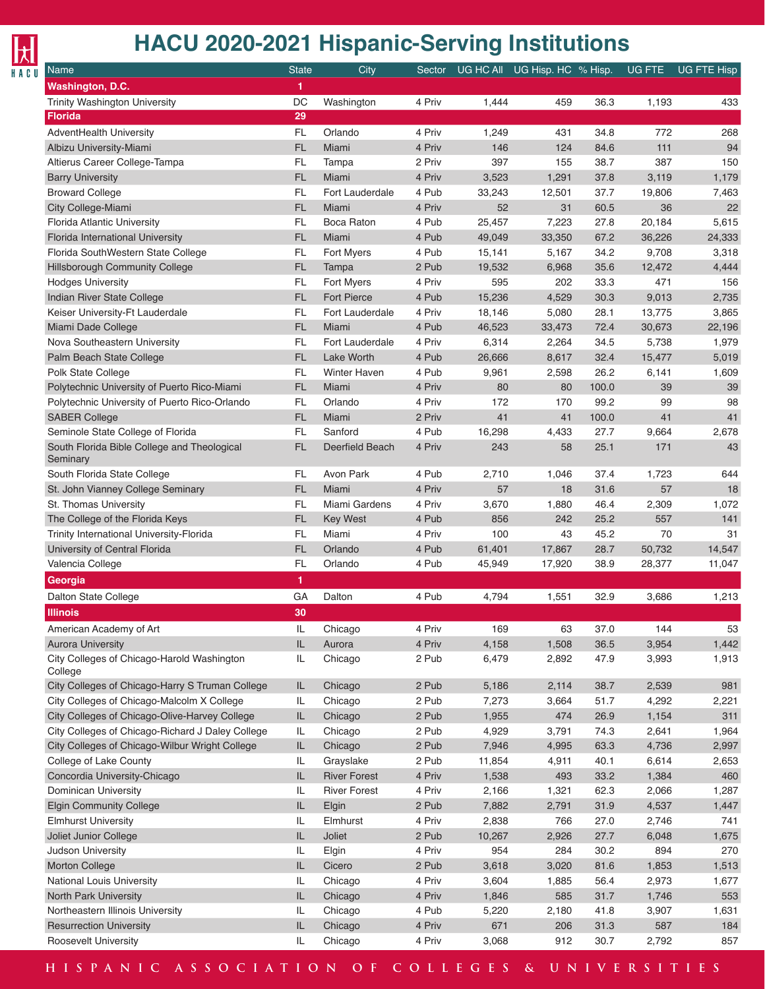## $\frac{1}{\frac{1}{\frac{1}{\pi}}\prod_{i=1}^{n}$

#### **HACU 2020-2021 Hispanic-Serving Institutions**

| <b>Name</b>                                             | <b>State</b>  | City                | Sector |        | UG HC All UG Hisp. HC % Hisp. |       | UG FTE | UG FTE Hisp |
|---------------------------------------------------------|---------------|---------------------|--------|--------|-------------------------------|-------|--------|-------------|
| Washington, D.C.                                        | 1             |                     |        |        |                               |       |        |             |
| Trinity Washington University                           | DC            | Washington          | 4 Priv | 1,444  | 459                           | 36.3  | 1,193  | 433         |
| <b>Florida</b>                                          | 29            |                     |        |        |                               |       |        |             |
| AdventHealth University                                 | <b>FL</b>     | Orlando             | 4 Priv | 1,249  | 431                           | 34.8  | 772    | 268         |
| Albizu University-Miami                                 | FL            | Miami               | 4 Priv | 146    | 124                           | 84.6  | 111    | 94          |
| Altierus Career College-Tampa                           | <b>FL</b>     | Tampa               | 2 Priv | 397    | 155                           | 38.7  | 387    | 150         |
| <b>Barry University</b>                                 | FL            | Miami               | 4 Priv | 3,523  | 1,291                         | 37.8  | 3,119  | 1,179       |
| <b>Broward College</b>                                  | <b>FL</b>     | Fort Lauderdale     | 4 Pub  | 33,243 | 12,501                        | 37.7  | 19,806 | 7,463       |
| City College-Miami                                      | FL            | Miami               | 4 Priv | 52     | 31                            | 60.5  | 36     | 22          |
| Florida Atlantic University                             | <b>FL</b>     | <b>Boca Raton</b>   | 4 Pub  | 25,457 | 7,223                         | 27.8  | 20,184 | 5,615       |
| Florida International University                        | FL            | Miami               | 4 Pub  | 49,049 | 33,350                        | 67.2  | 36,226 | 24,333      |
| Florida SouthWestern State College                      | <b>FL</b>     | Fort Myers          | 4 Pub  | 15,141 | 5,167                         | 34.2  | 9,708  | 3,318       |
| Hillsborough Community College                          | <b>FL</b>     | Tampa               | 2 Pub  | 19,532 | 6,968                         | 35.6  | 12,472 | 4,444       |
| <b>Hodges University</b>                                | <b>FL</b>     | Fort Myers          | 4 Priv | 595    | 202                           | 33.3  | 471    | 156         |
| Indian River State College                              | <b>FL</b>     | <b>Fort Pierce</b>  | 4 Pub  | 15,236 | 4,529                         | 30.3  | 9,013  | 2,735       |
| Keiser University-Ft Lauderdale                         | <b>FL</b>     | Fort Lauderdale     | 4 Priv | 18,146 | 5,080                         | 28.1  | 13,775 | 3,865       |
| Miami Dade College                                      | FL            | Miami               | 4 Pub  | 46,523 | 33,473                        | 72.4  | 30,673 | 22,196      |
| Nova Southeastern University                            | <b>FL</b>     | Fort Lauderdale     | 4 Priv | 6,314  |                               | 34.5  | 5,738  |             |
| Palm Beach State College                                | FL            | Lake Worth          | 4 Pub  |        | 2,264                         |       |        | 1,979       |
|                                                         |               |                     |        | 26,666 | 8,617                         | 32.4  | 15,477 | 5,019       |
| Polk State College                                      | <b>FL</b>     | Winter Haven        | 4 Pub  | 9,961  | 2,598                         | 26.2  | 6,141  | 1,609       |
| Polytechnic University of Puerto Rico-Miami             | FL            | Miami               | 4 Priv | 80     | 80                            | 100.0 | 39     | 39          |
| Polytechnic University of Puerto Rico-Orlando           | <b>FL</b>     | Orlando             | 4 Priv | 172    | 170                           | 99.2  | 99     | 98          |
| <b>SABER College</b>                                    | FL            | Miami               | 2 Priv | 41     | 41                            | 100.0 | 41     | 41          |
| Seminole State College of Florida                       | <b>FL</b>     | Sanford             | 4 Pub  | 16,298 | 4,433                         | 27.7  | 9,664  | 2,678       |
| South Florida Bible College and Theological<br>Seminary | <b>FL</b>     | Deerfield Beach     | 4 Priv | 243    | 58                            | 25.1  | 171    | 43          |
| South Florida State College                             | FL            | Avon Park           | 4 Pub  | 2,710  | 1,046                         | 37.4  | 1,723  | 644         |
| St. John Vianney College Seminary                       | FL            | Miami               | 4 Priv | 57     | 18                            | 31.6  | 57     | 18          |
| St. Thomas University                                   | <b>FL</b>     | Miami Gardens       | 4 Priv | 3,670  | 1,880                         | 46.4  | 2,309  | 1,072       |
| The College of the Florida Keys                         | <b>FL</b>     | <b>Key West</b>     | 4 Pub  | 856    | 242                           | 25.2  | 557    | 141         |
| Trinity International University-Florida                | <b>FL</b>     | Miami               | 4 Priv | 100    | 43                            | 45.2  | 70     | 31          |
| University of Central Florida                           | FL            | Orlando             | 4 Pub  | 61,401 | 17,867                        | 28.7  | 50,732 | 14,547      |
| Valencia College                                        | <b>FL</b>     | Orlando             | 4 Pub  | 45,949 | 17,920                        | 38.9  | 28,377 | 11,047      |
| Georgia                                                 | 1             |                     |        |        |                               |       |        |             |
| Dalton State College                                    | GA            | Dalton              | 4 Pub  | 4,794  | 1,551                         | 32.9  | 3,686  | 1,213       |
| <b>Illinois</b>                                         | 30            |                     |        |        |                               |       |        |             |
| American Academy of Art                                 | $\mathsf{IL}$ | Chicago             | 4 Priv | 169    | 63                            | 37.0  | 144    | 53          |
| <b>Aurora University</b>                                | IL            | Aurora              | 4 Priv | 4,158  | 1,508                         | 36.5  | 3,954  | 1,442       |
| City Colleges of Chicago-Harold Washington              | IL            | Chicago             | 2 Pub  | 6,479  | 2,892                         | 47.9  | 3,993  | 1,913       |
| College                                                 |               |                     |        |        |                               |       |        |             |
| City Colleges of Chicago-Harry S Truman College         | IL            | Chicago             | 2 Pub  | 5,186  | 2,114                         | 38.7  | 2,539  | 981         |
| City Colleges of Chicago-Malcolm X College              | IL            | Chicago             | 2 Pub  | 7,273  | 3,664                         | 51.7  | 4,292  | 2,221       |
| City Colleges of Chicago-Olive-Harvey College           | $\sf IL$      | Chicago             | 2 Pub  | 1,955  | 474                           | 26.9  | 1,154  | 311         |
| City Colleges of Chicago-Richard J Daley College        | IL            | Chicago             | 2 Pub  | 4,929  | 3,791                         | 74.3  | 2,641  | 1,964       |
| City Colleges of Chicago-Wilbur Wright College          | $\sf IL$      | Chicago             | 2 Pub  | 7,946  | 4,995                         | 63.3  | 4,736  | 2,997       |
| College of Lake County                                  | IL            | Grayslake           | 2 Pub  | 11,854 | 4,911                         | 40.1  | 6,614  | 2,653       |
| Concordia University-Chicago                            | $\sf IL$      | <b>River Forest</b> | 4 Priv | 1,538  | 493                           | 33.2  | 1,384  | 460         |
| Dominican University                                    | IL            | <b>River Forest</b> | 4 Priv |        |                               | 62.3  | 2,066  |             |
|                                                         | $\sf IL$      |                     |        | 2,166  | 1,321                         |       |        | 1,287       |
| <b>Elgin Community College</b>                          |               | Elgin               | 2 Pub  | 7,882  | 2,791                         | 31.9  | 4,537  | 1,447       |
| <b>Elmhurst University</b>                              | IL            | Elmhurst            | 4 Priv | 2,838  | 766                           | 27.0  | 2,746  | 741         |
| Joliet Junior College                                   | $\sf IL$      | Joliet              | 2 Pub  | 10,267 | 2,926                         | 27.7  | 6,048  | 1,675       |
| Judson University                                       | IL            | Elgin               | 4 Priv | 954    | 284                           | 30.2  | 894    | 270         |
| <b>Morton College</b>                                   | $\sf IL$      | Cicero              | 2 Pub  | 3,618  | 3,020                         | 81.6  | 1,853  | 1,513       |
| National Louis University                               | IL            | Chicago             | 4 Priv | 3,604  | 1,885                         | 56.4  | 2,973  | 1,677       |
| North Park University                                   | $\sf IL$      | Chicago             | 4 Priv | 1,846  | 585                           | 31.7  | 1,746  | 553         |
| Northeastern Illinois University                        | IL            | Chicago             | 4 Pub  | 5,220  | 2,180                         | 41.8  | 3,907  | 1,631       |
| <b>Resurrection University</b>                          | $\sf IL$      | Chicago             | 4 Priv | 671    | 206                           | 31.3  | 587    | 184         |
| Roosevelt University                                    | IL            | Chicago             | 4 Priv | 3,068  | 912                           | 30.7  | 2,792  | 857         |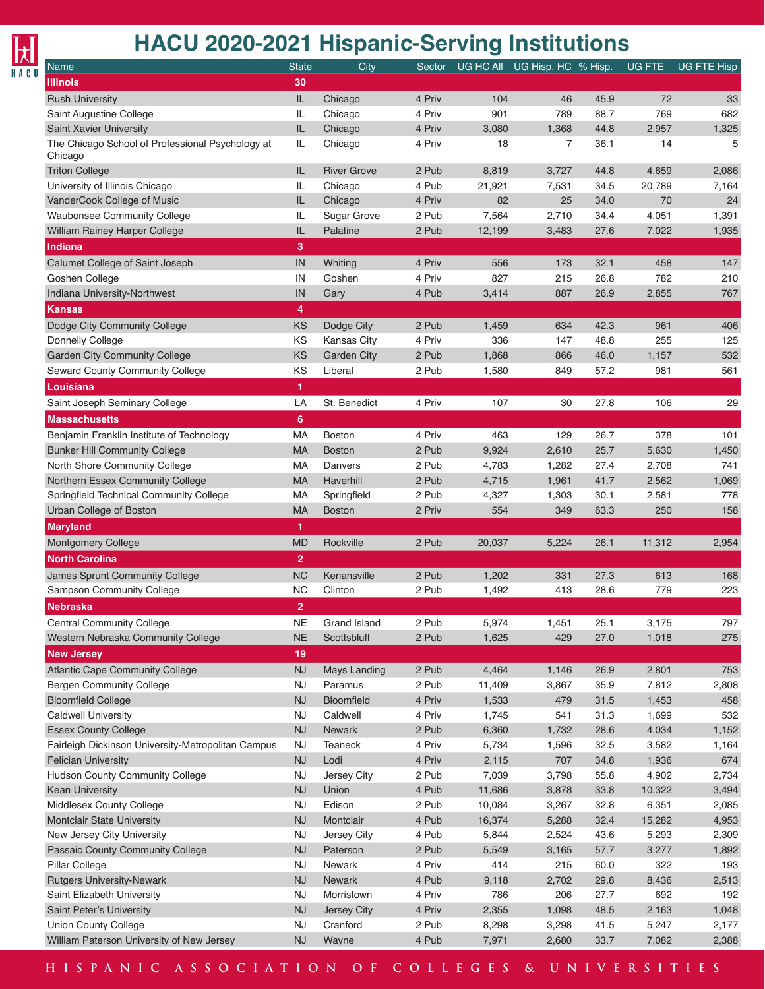## $\frac{1}{\frac{1}{2}}$

#### **HACU 2020-2021 Hispanic-Serving Institutions**

| Name                                               | <b>State</b>   | City                | Sector |        | UG HC All UG Hisp. HC % Hisp. |      | <b>UG FTE</b> | <b>UG FTE Hisp</b> |
|----------------------------------------------------|----------------|---------------------|--------|--------|-------------------------------|------|---------------|--------------------|
| <b>Illinois</b>                                    | 30             |                     |        |        |                               |      |               |                    |
| <b>Rush University</b>                             | IL.            | Chicago             | 4 Priv | 104    | 46                            | 45.9 | 72            | 33                 |
| Saint Augustine College                            | IL             | Chicago             | 4 Priv | 901    | 789                           | 88.7 | 769           | 682                |
| Saint Xavier University                            | IL             | Chicago             | 4 Priv | 3,080  | 1,368                         | 44.8 | 2,957         | 1,325              |
| The Chicago School of Professional Psychology at   | IL             | Chicago             | 4 Priv | 18     | 7                             | 36.1 | 14            | 5                  |
| Chicago                                            |                |                     |        |        |                               |      |               |                    |
| <b>Triton College</b>                              | IL             | <b>River Grove</b>  | 2 Pub  | 8,819  | 3,727                         | 44.8 | 4,659         | 2,086              |
| University of Illinois Chicago                     | IL             | Chicago             | 4 Pub  | 21,921 | 7,531                         | 34.5 | 20,789        | 7,164              |
| VanderCook College of Music                        | IL             | Chicago             | 4 Priv | 82     | 25                            | 34.0 | 70            | 24                 |
| Waubonsee Community College                        | IL             | Sugar Grove         | 2 Pub  | 7,564  | 2,710                         | 34.4 | 4,051         | 1,391              |
| William Rainey Harper College                      | IL             | Palatine            | 2 Pub  | 12,199 | 3,483                         | 27.6 | 7,022         | 1,935              |
| <b>Indiana</b>                                     | 3              |                     |        |        |                               |      |               |                    |
| Calumet College of Saint Joseph                    | IN             | Whiting             | 4 Priv | 556    | 173                           | 32.1 | 458           | 147                |
| Goshen College                                     | IN             | Goshen              | 4 Priv | 827    | 215                           | 26.8 | 782           | 210                |
| Indiana University-Northwest                       | IN             | Gary                | 4 Pub  | 3,414  | 887                           | 26.9 | 2,855         | 767                |
| <b>Kansas</b>                                      | 4              |                     |        |        |                               |      |               |                    |
| Dodge City Community College                       | KS             | Dodge City          | 2 Pub  | 1,459  | 634                           | 42.3 | 961           | 406                |
| Donnelly College                                   | KS             | <b>Kansas City</b>  | 4 Priv | 336    | 147                           | 48.8 | 255           | 125                |
| <b>Garden City Community College</b>               | <b>KS</b>      | <b>Garden City</b>  | 2 Pub  | 1,868  | 866                           | 46.0 | 1,157         | 532                |
| Seward County Community College                    | KS             | Liberal             | 2 Pub  | 1,580  | 849                           | 57.2 | 981           | 561                |
| Louisiana                                          | 1              |                     |        |        |                               |      |               |                    |
| Saint Joseph Seminary College                      | LA             | St. Benedict        | 4 Priv | 107    | 30                            | 27.8 | 106           | 29                 |
| <b>Massachusetts</b>                               | $6\phantom{1}$ |                     |        |        |                               |      |               |                    |
|                                                    |                |                     |        |        |                               |      |               |                    |
| Benjamin Franklin Institute of Technology          | MA             | <b>Boston</b>       | 4 Priv | 463    | 129                           | 26.7 | 378           | 101                |
| <b>Bunker Hill Community College</b>               | <b>MA</b>      | <b>Boston</b>       | 2 Pub  | 9,924  | 2,610                         | 25.7 | 5,630         | 1,450              |
| North Shore Community College                      | MA             | Danvers             | 2 Pub  | 4,783  | 1,282                         | 27.4 | 2,708         | 741                |
| Northern Essex Community College                   | <b>MA</b>      | Haverhill           | 2 Pub  | 4,715  | 1,961                         | 41.7 | 2,562         | 1,069              |
| Springfield Technical Community College            | MA             | Springfield         | 2 Pub  | 4,327  | 1,303                         | 30.1 | 2,581         | 778                |
| Urban College of Boston                            | <b>MA</b>      | <b>Boston</b>       | 2 Priv | 554    | 349                           | 63.3 | 250           | 158                |
| <b>Maryland</b>                                    | 1              |                     |        |        |                               |      |               |                    |
| <b>Montgomery College</b>                          | <b>MD</b>      | Rockville           | 2 Pub  | 20,037 | 5,224                         | 26.1 | 11,312        | 2,954              |
| <b>North Carolina</b>                              | 2 <sup>1</sup> |                     |        |        |                               |      |               |                    |
| James Sprunt Community College                     | <b>NC</b>      | Kenansville         | 2 Pub  | 1,202  | 331                           | 27.3 | 613           | 168                |
| Sampson Community College                          | <b>NC</b>      | Clinton             | 2 Pub  | 1,492  | 413                           | 28.6 | 779           | 223                |
| <b>Nebraska</b>                                    | $\overline{2}$ |                     |        |        |                               |      |               |                    |
| <b>Central Community College</b>                   | <b>NE</b>      | Grand Island        | 2 Pub  | 5,974  | 1,451                         | 25.1 | 3,175         | 797                |
| Western Nebraska Community College                 | $NE$           | Scottsbluff         | 2 Pub  | 1,625  | 429                           | 27.0 | 1,018         | 275                |
| <b>New Jersey</b>                                  | 19             |                     |        |        |                               |      |               |                    |
| <b>Atlantic Cape Community College</b>             | <b>NJ</b>      | <b>Mays Landing</b> | 2 Pub  | 4,464  | 1,146                         | 26.9 | 2,801         | 753                |
| <b>Bergen Community College</b>                    | <b>NJ</b>      | Paramus             | 2 Pub  | 11,409 | 3,867                         | 35.9 | 7,812         | 2,808              |
| <b>Bloomfield College</b>                          | NJ             | Bloomfield          | 4 Priv | 1,533  | 479                           | 31.5 | 1,453         | 458                |
| <b>Caldwell University</b>                         | <b>NJ</b>      | Caldwell            | 4 Priv | 1,745  | 541                           | 31.3 | 1,699         | 532                |
| <b>Essex County College</b>                        | NJ             | Newark              | 2 Pub  | 6,360  | 1,732                         | 28.6 | 4,034         | 1,152              |
| Fairleigh Dickinson University-Metropolitan Campus | <b>NJ</b>      | Teaneck             | 4 Priv | 5,734  | 1,596                         | 32.5 | 3,582         | 1,164              |
| <b>Felician University</b>                         | NJ             | Lodi                | 4 Priv | 2,115  | 707                           | 34.8 | 1,936         | 674                |
| Hudson County Community College                    | <b>NJ</b>      | Jersey City         | 2 Pub  | 7,039  | 3,798                         | 55.8 | 4,902         | 2,734              |
| Kean University                                    | NJ             | Union               | 4 Pub  | 11,686 | 3,878                         | 33.8 | 10,322        | 3,494              |
| Middlesex County College                           | <b>NJ</b>      | Edison              | 2 Pub  | 10,084 | 3,267                         | 32.8 | 6,351         | 2,085              |
| Montclair State University                         | NJ             | Montclair           | 4 Pub  | 16,374 | 5,288                         | 32.4 | 15,282        | 4,953              |
| New Jersey City University                         | <b>NJ</b>      | Jersey City         | 4 Pub  | 5,844  | 2,524                         | 43.6 | 5,293         | 2,309              |
| Passaic County Community College                   | NJ             | Paterson            | 2 Pub  | 5,549  | 3,165                         | 57.7 | 3,277         | 1,892              |
| Pillar College                                     | <b>NJ</b>      | Newark              | 4 Priv | 414    | 215                           | 60.0 | 322           | 193                |
| <b>Rutgers University-Newark</b>                   | NJ             | Newark              | 4 Pub  | 9,118  | 2,702                         | 29.8 | 8,436         | 2,513              |
| Saint Elizabeth University                         | <b>NJ</b>      | Morristown          | 4 Priv | 786    | 206                           | 27.7 | 692           | 192                |
| Saint Peter's University                           | NJ             | Jersey City         | 4 Priv | 2,355  | 1,098                         | 48.5 | 2,163         | 1,048              |
| <b>Union County College</b>                        | <b>NJ</b>      | Cranford            | 2 Pub  | 8,298  | 3,298                         | 41.5 | 5,247         | 2,177              |
| William Paterson University of New Jersey          | NJ             | Wayne               | 4 Pub  | 7,971  | 2,680                         | 33.7 | 7,082         | 2,388              |
|                                                    |                |                     |        |        |                               |      |               |                    |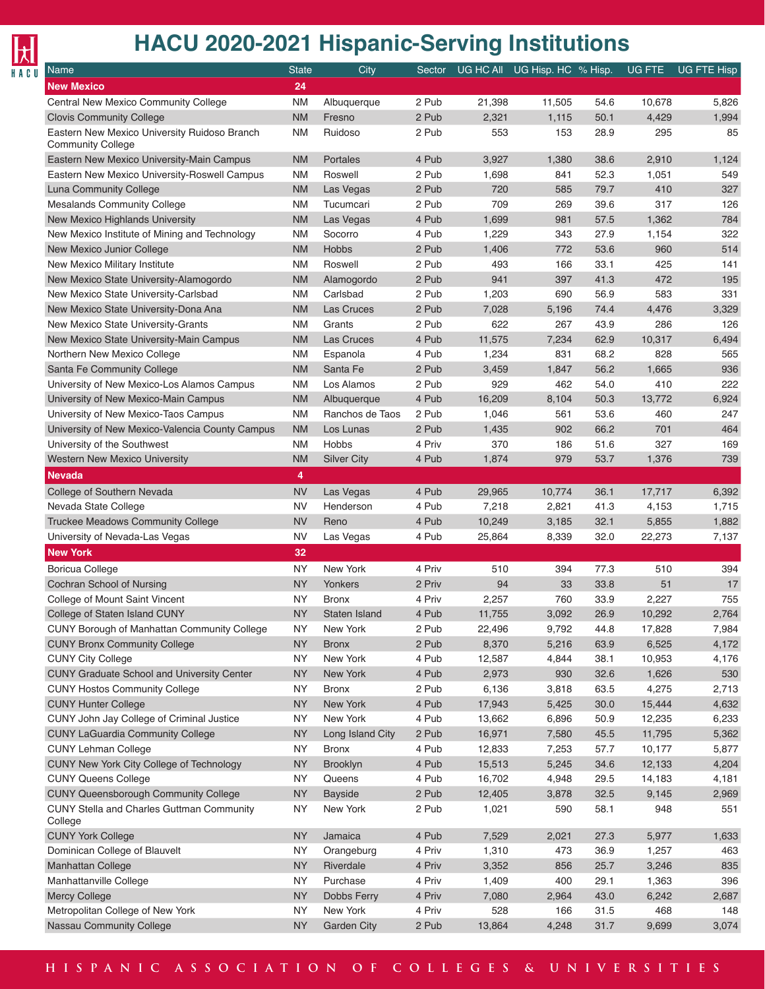

| <b>Name</b>                                                              | <b>State</b>           | City                    | Sector           |           | UG HC All UG Hisp. HC % Hisp. |              | UG FTE          | UG FTE Hisp |
|--------------------------------------------------------------------------|------------------------|-------------------------|------------------|-----------|-------------------------------|--------------|-----------------|-------------|
| <b>New Mexico</b>                                                        | 24                     |                         |                  |           |                               |              |                 |             |
| Central New Mexico Community College                                     | <b>NM</b>              | Albuquerque             | 2 Pub            | 21,398    | 11,505                        | 54.6         | 10,678          | 5,826       |
| <b>Clovis Community College</b>                                          | <b>NM</b>              | Fresno                  | 2 Pub            | 2,321     | 1,115                         | 50.1         | 4,429           | 1,994       |
| Eastern New Mexico University Ruidoso Branch<br><b>Community College</b> | <b>NM</b>              | Ruidoso                 | 2 Pub            | 553       | 153                           | 28.9         | 295             | 85          |
| Eastern New Mexico University-Main Campus                                | <b>NM</b>              | Portales                | 4 Pub            | 3,927     | 1,380                         | 38.6         | 2,910           | 1,124       |
| Eastern New Mexico University-Roswell Campus                             | <b>NM</b>              | Roswell                 | 2 Pub            | 1,698     | 841                           | 52.3         | 1,051           | 549         |
| Luna Community College                                                   | <b>NM</b>              | Las Vegas               | 2 Pub            | 720       | 585                           | 79.7         | 410             | 327         |
| <b>Mesalands Community College</b>                                       | <b>NM</b>              | Tucumcari               | 2 Pub            | 709       | 269                           | 39.6         | 317             | 126         |
| New Mexico Highlands University                                          | <b>NM</b>              | Las Vegas               | 4 Pub            | 1,699     | 981                           | 57.5         | 1,362           | 784         |
| New Mexico Institute of Mining and Technology                            | <b>NM</b>              | Socorro                 | 4 Pub            | 1,229     | 343                           | 27.9         | 1,154           | 322         |
| New Mexico Junior College                                                | <b>NM</b>              | <b>Hobbs</b>            | 2 Pub            | 1,406     | 772                           | 53.6         | 960             | 514         |
| New Mexico Military Institute                                            | <b>NM</b>              | Roswell                 | 2 Pub            | 493       | 166                           | 33.1         | 425             | 141         |
| New Mexico State University-Alamogordo                                   | <b>NM</b>              | Alamogordo              | 2 Pub            | 941       | 397                           | 41.3         | 472             | 195         |
| New Mexico State University-Carlsbad                                     | <b>NM</b>              | Carlsbad                | 2 Pub            | 1,203     | 690                           | 56.9         | 583             | 331         |
| New Mexico State University-Dona Ana                                     | <b>NM</b>              | Las Cruces              | 2 Pub            | 7,028     | 5,196                         | 74.4         | 4,476           | 3,329       |
| New Mexico State University-Grants                                       | <b>NM</b>              | Grants                  | 2 Pub            | 622       | 267                           | 43.9         | 286             | 126         |
| New Mexico State University-Main Campus                                  | <b>NM</b>              | <b>Las Cruces</b>       | 4 Pub            | 11,575    | 7,234                         | 62.9         | 10,317          | 6,494       |
| Northern New Mexico College                                              | <b>NM</b>              | Espanola                | 4 Pub            | 1,234     | 831                           | 68.2         | 828             | 565         |
| Santa Fe Community College                                               | <b>NM</b>              | Santa Fe                | 2 Pub            | 3,459     | 1,847                         | 56.2         | 1,665           | 936         |
| University of New Mexico-Los Alamos Campus                               | <b>NM</b>              | Los Alamos              | 2 Pub            | 929       | 462                           | 54.0         | 410             | 222         |
| University of New Mexico-Main Campus                                     | <b>NM</b>              | Albuquerque             | 4 Pub            | 16,209    | 8,104                         | 50.3         | 13,772          | 6,924       |
| University of New Mexico-Taos Campus                                     | <b>NM</b>              | Ranchos de Taos         | 2 Pub            | 1,046     | 561                           | 53.6         | 460             | 247         |
| University of New Mexico-Valencia County Campus                          | <b>NM</b>              | Los Lunas               | 2 Pub            | 1,435     | 902                           | 66.2         | 701             | 464         |
| University of the Southwest                                              | <b>NM</b>              | <b>Hobbs</b>            | 4 Priv           | 370       | 186                           | 51.6         | 327             | 169         |
| <b>Western New Mexico University</b>                                     | <b>NM</b>              | <b>Silver City</b>      | 4 Pub            | 1,874     | 979                           | 53.7         | 1,376           | 739         |
| <b>Nevada</b>                                                            | $\overline{4}$         |                         |                  |           |                               |              |                 |             |
| College of Southern Nevada                                               | <b>NV</b>              | Las Vegas               | 4 Pub            | 29,965    | 10,774                        | 36.1         | 17,717          | 6,392       |
| Nevada State College                                                     | <b>NV</b>              | Henderson               | 4 Pub            | 7,218     | 2,821                         | 41.3         | 4,153           | 1,715       |
| Truckee Meadows Community College                                        | <b>NV</b>              | Reno                    | 4 Pub            | 10,249    | 3,185                         | 32.1         | 5,855           | 1,882       |
| University of Nevada-Las Vegas                                           | <b>NV</b>              | Las Vegas               | 4 Pub            | 25,864    | 8,339                         | 32.0         | 22,273          | 7,137       |
| <b>New York</b>                                                          | 32                     |                         |                  |           |                               |              |                 |             |
| <b>Boricua College</b>                                                   | <b>NY</b><br><b>NY</b> | New York                | 4 Priv           | 510<br>94 | 394                           | 77.3         | 510<br>51       | 394         |
| Cochran School of Nursing<br>College of Mount Saint Vincent              | <b>NY</b>              | Yonkers<br><b>Bronx</b> | 2 Priv<br>4 Priv | 2,257     | 33<br>760                     | 33.8<br>33.9 |                 | 17<br>755   |
| College of Staten Island CUNY                                            | <b>NY</b>              | Staten Island           | 4 Pub            | 11,755    | 3,092                         | 26.9         | 2,227<br>10,292 | 2,764       |
| CUNY Borough of Manhattan Community College                              | ΝY                     | New York                | 2 Pub            | 22,496    | 9,792                         | 44.8         | 17,828          | 7,984       |
| <b>CUNY Bronx Community College</b>                                      | <b>NY</b>              | <b>Bronx</b>            | 2 Pub            | 8,370     | 5,216                         | 63.9         | 6,525           | 4,172       |
| <b>CUNY City College</b>                                                 | <b>NY</b>              | New York                | 4 Pub            | 12,587    | 4,844                         | 38.1         | 10,953          | 4,176       |
| <b>CUNY Graduate School and University Center</b>                        | <b>NY</b>              | New York                | 4 Pub            | 2,973     | 930                           | 32.6         | 1,626           | 530         |
| <b>CUNY Hostos Community College</b>                                     | <b>NY</b>              | <b>Bronx</b>            | 2 Pub            | 6,136     | 3,818                         | 63.5         | 4,275           | 2,713       |
| <b>CUNY Hunter College</b>                                               | <b>NY</b>              | New York                | 4 Pub            | 17,943    | 5,425                         | 30.0         | 15,444          | 4,632       |
| CUNY John Jay College of Criminal Justice                                | <b>NY</b>              | New York                | 4 Pub            | 13,662    | 6,896                         | 50.9         | 12,235          | 6,233       |
| <b>CUNY LaGuardia Community College</b>                                  | <b>NY</b>              | Long Island City        | 2 Pub            | 16,971    | 7,580                         | 45.5         | 11,795          | 5,362       |
| <b>CUNY Lehman College</b>                                               | <b>NY</b>              | <b>Bronx</b>            | 4 Pub            | 12,833    | 7,253                         | 57.7         | 10,177          | 5,877       |
| CUNY New York City College of Technology                                 | <b>NY</b>              | Brooklyn                | 4 Pub            | 15,513    | 5,245                         | 34.6         | 12,133          | 4,204       |
| <b>CUNY Queens College</b>                                               | <b>NY</b>              | Queens                  | 4 Pub            | 16,702    | 4,948                         | 29.5         | 14,183          | 4,181       |
| <b>CUNY Queensborough Community College</b>                              | <b>NY</b>              | <b>Bayside</b>          | 2 Pub            | 12,405    | 3,878                         | 32.5         | 9,145           | 2,969       |
| CUNY Stella and Charles Guttman Community<br>College                     | <b>NY</b>              | New York                | 2 Pub            | 1,021     | 590                           | 58.1         | 948             | 551         |
| <b>CUNY York College</b>                                                 | <b>NY</b>              | Jamaica                 | 4 Pub            | 7,529     | 2,021                         | 27.3         | 5,977           | 1,633       |
| Dominican College of Blauvelt                                            | NY.                    | Orangeburg              | 4 Priv           | 1,310     | 473                           | 36.9         | 1,257           | 463         |
| Manhattan College                                                        | <b>NY</b>              | Riverdale               | 4 Priv           | 3,352     | 856                           | 25.7         | 3,246           | 835         |
| Manhattanville College                                                   | <b>NY</b>              | Purchase                | 4 Priv           | 1,409     | 400                           | 29.1         | 1,363           | 396         |
| Mercy College                                                            | <b>NY</b>              | Dobbs Ferry             | 4 Priv           | 7,080     | 2,964                         | 43.0         | 6,242           | 2,687       |
| Metropolitan College of New York                                         | <b>NY</b>              | New York                | 4 Priv           | 528       | 166                           | 31.5         | 468             | 148         |
| Nassau Community College                                                 | <b>NY</b>              | Garden City             | 2 Pub            | 13,864    | 4,248                         | 31.7         | 9,699           | 3,074       |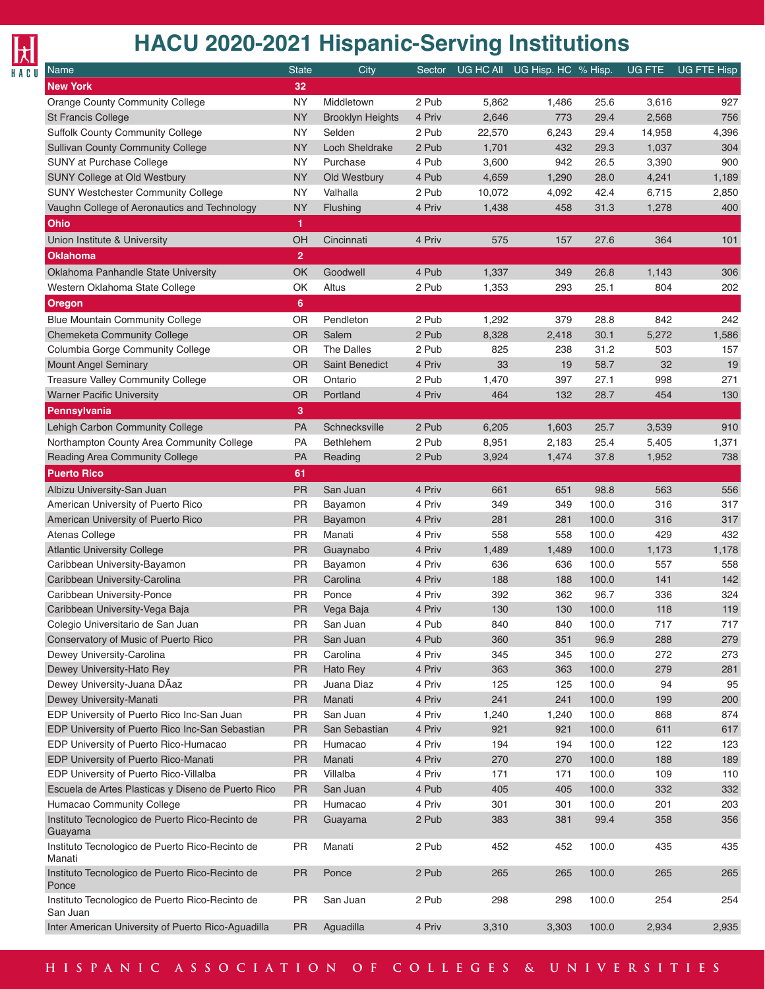

| Name                                                                  | <b>State</b>    | City                                | Sector          |           | UG HC All UG Hisp. HC % Hisp. |       | UG FTE    | UG FTE Hisp |
|-----------------------------------------------------------------------|-----------------|-------------------------------------|-----------------|-----------|-------------------------------|-------|-----------|-------------|
| <b>New York</b>                                                       | 32              |                                     |                 |           |                               |       |           |             |
| <b>Orange County Community College</b>                                | <b>NY</b>       | Middletown                          | 2 Pub           | 5,862     | 1,486                         | 25.6  | 3,616     | 927         |
| <b>St Francis College</b>                                             | <b>NY</b>       | <b>Brooklyn Heights</b>             | 4 Priv          | 2,646     | 773                           | 29.4  | 2,568     | 756         |
| <b>Suffolk County Community College</b>                               | <b>NY</b>       | Selden                              | 2 Pub           | 22,570    | 6,243                         | 29.4  | 14,958    | 4,396       |
| <b>Sullivan County Community College</b>                              | <b>NY</b>       | <b>Loch Sheldrake</b>               | 2 Pub           | 1,701     | 432                           | 29.3  | 1,037     | 304         |
| SUNY at Purchase College                                              | <b>NY</b>       | Purchase                            | 4 Pub           | 3,600     | 942                           | 26.5  | 3,390     | 900         |
| SUNY College at Old Westbury                                          | <b>NY</b>       | Old Westbury                        | 4 Pub           | 4,659     | 1,290                         | 28.0  | 4,241     | 1,189       |
| <b>SUNY Westchester Community College</b>                             | <b>NY</b>       | Valhalla                            | 2 Pub           | 10,072    | 4,092                         | 42.4  | 6,715     | 2,850       |
| Vaughn College of Aeronautics and Technology                          | <b>NY</b>       | Flushing                            | 4 Priv          | 1,438     | 458                           | 31.3  | 1,278     | 400         |
| <b>Ohio</b>                                                           | 1               |                                     |                 |           |                               |       |           |             |
| Union Institute & University                                          | OH              | Cincinnati                          | 4 Priv          | 575       | 157                           | 27.6  | 364       | 101         |
| <b>Oklahoma</b>                                                       | $\overline{2}$  |                                     |                 |           |                               |       |           |             |
| Oklahoma Panhandle State University                                   | <b>OK</b>       | Goodwell                            | 4 Pub           | 1,337     | 349                           | 26.8  | 1,143     | 306         |
| Western Oklahoma State College                                        | OK              | Altus                               | 2 Pub           | 1,353     | 293                           | 25.1  | 804       | 202         |
| <b>Oregon</b>                                                         | 6               |                                     |                 |           |                               |       |           |             |
| <b>Blue Mountain Community College</b>                                |                 |                                     | 2 Pub           |           |                               |       |           |             |
|                                                                       | OR<br><b>OR</b> | Pendleton                           | 2 Pub           | 1,292     | 379                           | 28.8  | 842       | 242         |
| Chemeketa Community College                                           |                 | Salem                               |                 | 8,328     | 2,418                         | 30.1  | 5,272     | 1,586       |
| Columbia Gorge Community College                                      | OR<br><b>OR</b> | The Dalles<br><b>Saint Benedict</b> | 2 Pub<br>4 Priv | 825<br>33 | 238                           | 31.2  | 503<br>32 | 157         |
| <b>Mount Angel Seminary</b>                                           |                 |                                     | 2 Pub           |           | 19                            | 58.7  |           | 19          |
| Treasure Valley Community College<br><b>Warner Pacific University</b> | OR<br><b>OR</b> | Ontario                             | 4 Priv          | 1,470     | 397                           | 27.1  | 998       | 271         |
|                                                                       |                 | Portland                            |                 | 464       | 132                           | 28.7  | 454       | 130         |
| Pennsylvania                                                          | 3               |                                     |                 |           |                               |       |           |             |
| Lehigh Carbon Community College                                       | PA              | Schnecksville                       | 2 Pub           | 6,205     | 1,603                         | 25.7  | 3,539     | 910         |
| Northampton County Area Community College                             | PA              | <b>Bethlehem</b>                    | 2 Pub           | 8,951     | 2,183                         | 25.4  | 5,405     | 1,371       |
| Reading Area Community College                                        | <b>PA</b>       | Reading                             | 2 Pub           | 3,924     | 1,474                         | 37.8  | 1,952     | 738         |
| <b>Puerto Rico</b>                                                    | 61              |                                     |                 |           |                               |       |           |             |
| Albizu University-San Juan                                            | <b>PR</b>       | San Juan                            | 4 Priv          | 661       | 651                           | 98.8  | 563       | 556         |
| American University of Puerto Rico                                    | PR              | Bayamon                             | 4 Priv          | 349       | 349                           | 100.0 | 316       | 317         |
| American University of Puerto Rico                                    | <b>PR</b>       | Bayamon                             | 4 Priv          | 281       | 281                           | 100.0 | 316       | 317         |
| Atenas College                                                        | PR              | Manati                              | 4 Priv          | 558       | 558                           | 100.0 | 429       | 432         |
| <b>Atlantic University College</b>                                    | <b>PR</b>       | Guaynabo                            | 4 Priv          | 1,489     | 1,489                         | 100.0 | 1,173     | 1,178       |
| Caribbean University-Bayamon                                          | PR              | Bayamon                             | 4 Priv          | 636       | 636                           | 100.0 | 557       | 558         |
| Caribbean University-Carolina                                         | <b>PR</b>       | Carolina                            | 4 Priv          | 188       | 188                           | 100.0 | 141       | 142         |
| Caribbean University-Ponce                                            | <b>PR</b>       | Ponce                               | 4 Priv          | 392       | 362                           | 96.7  | 336       | 324         |
| Caribbean University-Vega Baja                                        | <b>PR</b>       | Vega Baja                           | 4 Priv          | 130       | 130                           | 100.0 | 118       | 119         |
| Colegio Universitario de San Juan                                     | PR              | San Juan                            | 4 Pub           | 840       | 840                           | 100.0 | 717       | 717         |
| Conservatory of Music of Puerto Rico                                  | <b>PR</b>       | San Juan                            | 4 Pub           | 360       | 351                           | 96.9  | 288       | 279         |
| Dewey University-Carolina                                             | PR              | Carolina                            | 4 Priv          | 345       | 345                           | 100.0 | 272       | 273         |
| Dewey University-Hato Rey                                             | <b>PR</b>       | Hato Rey                            | 4 Priv          | 363       | 363                           | 100.0 | 279       | 281         |
| Dewey University-Juana DÃaz                                           | PR              | Juana Diaz                          | 4 Priv          | 125       | 125                           | 100.0 | 94        | 95          |
| Dewey University-Manati                                               | <b>PR</b>       | Manati                              | 4 Priv          | 241       | 241                           | 100.0 | 199       | 200         |
| EDP University of Puerto Rico Inc-San Juan                            | PR              | San Juan                            | 4 Priv          | 1,240     | 1,240                         | 100.0 | 868       | 874         |
| EDP University of Puerto Rico Inc-San Sebastian                       | <b>PR</b>       | San Sebastian                       | 4 Priv          | 921       | 921                           | 100.0 | 611       | 617         |
| EDP University of Puerto Rico-Humacao                                 | PR              | Humacao                             | 4 Priv          | 194       | 194                           | 100.0 | 122       | 123         |
| EDP University of Puerto Rico-Manati                                  | <b>PR</b>       | Manati                              | 4 Priv          | 270       | 270                           | 100.0 | 188       | 189         |
| EDP University of Puerto Rico-Villalba                                | PR              | Villalba                            | 4 Priv          | 171       | 171                           | 100.0 | 109       | 110         |
| Escuela de Artes Plasticas y Diseno de Puerto Rico                    | <b>PR</b>       | San Juan                            | 4 Pub           | 405       | 405                           | 100.0 | 332       | 332         |
| Humacao Community College                                             | PR              | Humacao                             | 4 Priv          | 301       | 301                           | 100.0 | 201       | 203         |
| Instituto Tecnologico de Puerto Rico-Recinto de<br>Guayama            | <b>PR</b>       | Guayama                             | 2 Pub           | 383       | 381                           | 99.4  | 358       | 356         |
| Instituto Tecnologico de Puerto Rico-Recinto de<br>Manati             | <b>PR</b>       | Manati                              | 2 Pub           | 452       | 452                           | 100.0 | 435       | 435         |
| Instituto Tecnologico de Puerto Rico-Recinto de<br>Ponce              | <b>PR</b>       | Ponce                               | 2 Pub           | 265       | 265                           | 100.0 | 265       | 265         |
| Instituto Tecnologico de Puerto Rico-Recinto de<br>San Juan           | PR              | San Juan                            | 2 Pub           | 298       | 298                           | 100.0 | 254       | 254         |
| Inter American University of Puerto Rico-Aguadilla                    | PR              | Aguadilla                           | 4 Priv          | 3,310     | 3,303                         | 100.0 | 2,934     | 2,935       |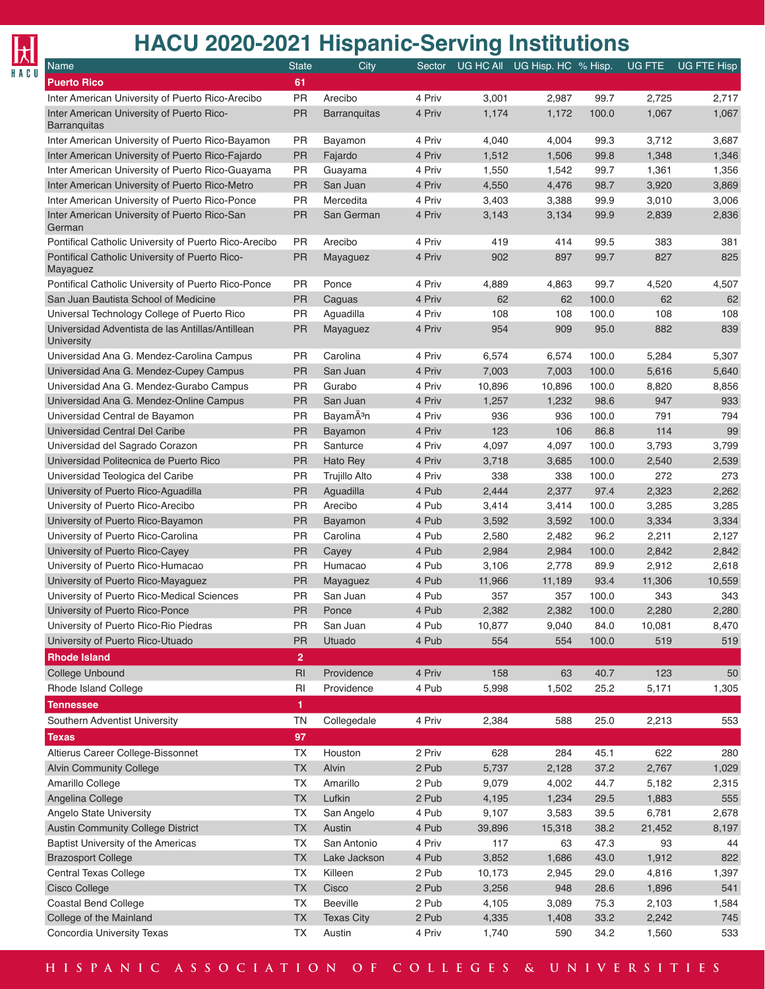| <b>HACU 2020-2021 Hispanic-Serving Institutions</b>              |                |                       |        |        |                               |       |               |                    |
|------------------------------------------------------------------|----------------|-----------------------|--------|--------|-------------------------------|-------|---------------|--------------------|
| Name                                                             | <b>State</b>   | City                  | Sector |        | UG HC All UG Hisp. HC % Hisp. |       | <b>UG FTE</b> | <b>UG FTE Hisp</b> |
| <b>Puerto Rico</b>                                               | 61             |                       |        |        |                               |       |               |                    |
| Inter American University of Puerto Rico-Arecibo                 | PR             | Arecibo               | 4 Priv | 3,001  | 2,987                         | 99.7  | 2,725         | 2,717              |
| Inter American University of Puerto Rico-<br><b>Barranquitas</b> | PR             | <b>Barranquitas</b>   | 4 Priv | 1,174  | 1,172                         | 100.0 | 1,067         | 1,067              |
| Inter American University of Puerto Rico-Bayamon                 | <b>PR</b>      | Bayamon               | 4 Priv | 4,040  | 4,004                         | 99.3  | 3,712         | 3,687              |
| Inter American University of Puerto Rico-Fajardo                 | <b>PR</b>      | Fajardo               | 4 Priv | 1,512  | 1,506                         | 99.8  | 1,348         | 1,346              |
| Inter American University of Puerto Rico-Guayama                 | <b>PR</b>      | Guayama               | 4 Priv | 1,550  | 1,542                         | 99.7  | 1,361         | 1,356              |
| Inter American University of Puerto Rico-Metro                   | PR             | San Juan              | 4 Priv | 4,550  | 4,476                         | 98.7  | 3,920         | 3,869              |
| Inter American University of Puerto Rico-Ponce                   | PR             | Mercedita             | 4 Priv | 3,403  | 3,388                         | 99.9  | 3,010         | 3,006              |
| Inter American University of Puerto Rico-San<br>German           | <b>PR</b>      | San German            | 4 Priv | 3,143  | 3,134                         | 99.9  | 2,839         | 2,836              |
| Pontifical Catholic University of Puerto Rico-Arecibo            | <b>PR</b>      | Arecibo               | 4 Priv | 419    | 414                           | 99.5  | 383           | 381                |
| Pontifical Catholic University of Puerto Rico-<br>Mayaguez       | <b>PR</b>      | Mayaguez              | 4 Priv | 902    | 897                           | 99.7  | 827           | 825                |
| Pontifical Catholic University of Puerto Rico-Ponce              | <b>PR</b>      | Ponce                 | 4 Priv | 4,889  | 4,863                         | 99.7  | 4,520         | 4,507              |
| San Juan Bautista School of Medicine                             | <b>PR</b>      | Caguas                | 4 Priv | 62     | 62                            | 100.0 | 62            | 62                 |
| Universal Technology College of Puerto Rico                      | <b>PR</b>      | Aguadilla             | 4 Priv | 108    | 108                           | 100.0 | 108           | 108                |
| Universidad Adventista de las Antillas/Antillean<br>University   | <b>PR</b>      | Mayaguez              | 4 Priv | 954    | 909                           | 95.0  | 882           | 839                |
| Universidad Ana G. Mendez-Carolina Campus                        | <b>PR</b>      | Carolina              | 4 Priv | 6,574  | 6,574                         | 100.0 | 5,284         | 5,307              |
| Universidad Ana G. Mendez-Cupey Campus                           | PR             | San Juan              | 4 Priv | 7,003  | 7,003                         | 100.0 | 5,616         | 5,640              |
| Universidad Ana G. Mendez-Gurabo Campus                          | PR             | Gurabo                | 4 Priv | 10,896 | 10,896                        | 100.0 | 8,820         | 8,856              |
| Universidad Ana G. Mendez-Online Campus                          | PR             | San Juan              | 4 Priv | 1,257  | 1,232                         | 98.6  | 947           | 933                |
| Universidad Central de Bayamon                                   | PR             | BayamÃ <sup>3</sup> n | 4 Priv | 936    | 936                           | 100.0 | 791           | 794                |
| Universidad Central Del Caribe                                   | PR             | Bayamon               | 4 Priv | 123    | 106                           | 86.8  | 114           | 99                 |
| Universidad del Sagrado Corazon                                  | PR             | Santurce              | 4 Priv | 4,097  | 4,097                         | 100.0 | 3,793         | 3,799              |
| Universidad Politecnica de Puerto Rico                           | PR             | Hato Rey              | 4 Priv | 3,718  | 3,685                         | 100.0 | 2,540         | 2,539              |
| Universidad Teologica del Caribe                                 | <b>PR</b>      | <b>Trujillo Alto</b>  | 4 Priv | 338    | 338                           | 100.0 | 272           | 273                |
| University of Puerto Rico-Aguadilla                              | PR             | Aguadilla             | 4 Pub  | 2,444  | 2,377                         | 97.4  | 2,323         | 2,262              |
| University of Puerto Rico-Arecibo                                | <b>PR</b>      | Arecibo               | 4 Pub  | 3,414  | 3,414                         | 100.0 | 3,285         | 3,285              |
| University of Puerto Rico-Bayamon                                | PR             | Bayamon               | 4 Pub  | 3,592  | 3,592                         | 100.0 | 3,334         | 3,334              |
| University of Puerto Rico-Carolina                               | <b>PR</b>      | Carolina              | 4 Pub  | 2,580  | 2,482                         | 96.2  | 2,211         | 2,127              |
| University of Puerto Rico-Cavey                                  | PR             | Cayey                 | 4 Pub  | 2,984  | 2,984                         | 100.0 | 2,842         | 2,842              |
| University of Puerto Rico-Humacao                                | <b>PR</b>      | Humacao               | 4 Pub  | 3,106  | 2,778                         | 89.9  | 2,912         | 2,618              |
| University of Puerto Rico-Mayaguez                               | <b>PR</b>      | Mayaguez              | 4 Pub  | 11,966 | 11,189                        | 93.4  | 11,306        | 10,559             |
| University of Puerto Rico-Medical Sciences                       | PR             | San Juan              | 4 Pub  | 357    | 357                           | 100.0 | 343           | 343                |
| University of Puerto Rico-Ponce                                  | <b>PR</b>      | Ponce                 | 4 Pub  | 2,382  | 2,382                         | 100.0 | 2,280         | 2,280              |
| University of Puerto Rico-Rio Piedras                            | PR             | San Juan              | 4 Pub  | 10,877 | 9,040                         | 84.0  | 10,081        | 8,470              |
| University of Puerto Rico-Utuado                                 | PR             | Utuado                | 4 Pub  | 554    | 554                           | 100.0 | 519           | 519                |
| <b>Rhode Island</b>                                              | $\overline{2}$ |                       |        |        |                               |       |               |                    |
| College Unbound                                                  | RI             | Providence            | 4 Priv | 158    | 63                            | 40.7  | 123           | 50                 |
| Rhode Island College                                             | RI             | Providence            | 4 Pub  | 5,998  | 1,502                         | 25.2  | 5,171         | 1,305              |
| <b>Tennessee</b>                                                 | $\mathbf{1}$   |                       |        |        |                               |       |               |                    |
| Southern Adventist University                                    | <b>TN</b>      | Collegedale           | 4 Priv | 2,384  | 588                           | 25.0  | 2,213         | 553                |
| <b>Texas</b>                                                     | 97             |                       |        |        |                               |       |               |                    |
| Altierus Career College-Bissonnet                                | ТX             | Houston               | 2 Priv | 628    | 284                           | 45.1  | 622           | 280                |
| <b>Alvin Community College</b>                                   | TX             | Alvin                 | 2 Pub  | 5,737  | 2,128                         | 37.2  | 2,767         | 1,029              |
| Amarillo College                                                 | TX             | Amarillo              | 2 Pub  | 9,079  | 4,002                         | 44.7  | 5,182         | 2,315              |
| Angelina College                                                 | TX             | Lufkin                | 2 Pub  | 4,195  | 1,234                         | 29.5  | 1,883         | 555                |
| Angelo State University                                          | TX             | San Angelo            | 4 Pub  | 9,107  | 3,583                         | 39.5  | 6,781         | 2,678              |
| <b>Austin Community College District</b>                         | TX             | Austin                | 4 Pub  | 39,896 | 15,318                        | 38.2  | 21,452        | 8,197              |
| Baptist University of the Americas                               | TX             | San Antonio           | 4 Priv | 117    | 63                            | 47.3  | 93            | 44                 |
| <b>Brazosport College</b>                                        | TX             | Lake Jackson          | 4 Pub  | 3,852  | 1,686                         | 43.0  | 1,912         | 822                |
| <b>Central Texas College</b>                                     | TX             | Killeen               | 2 Pub  | 10,173 | 2,945                         | 29.0  | 4,816         | 1,397              |
| Cisco College                                                    | TX             | Cisco                 | 2 Pub  | 3,256  | 948                           | 28.6  | 1,896         | 541                |
| Coastal Bend College                                             | TX             | Beeville              | 2 Pub  | 4,105  | 3,089                         | 75.3  | 2,103         | 1,584              |
| College of the Mainland                                          | TX             | <b>Texas City</b>     | 2 Pub  | 4,335  | 1,408                         | 33.2  | 2,242         | 745                |
| Concordia University Texas                                       | TX             | Austin                | 4 Priv | 1,740  | 590                           | 34.2  | 1,560         | 533                |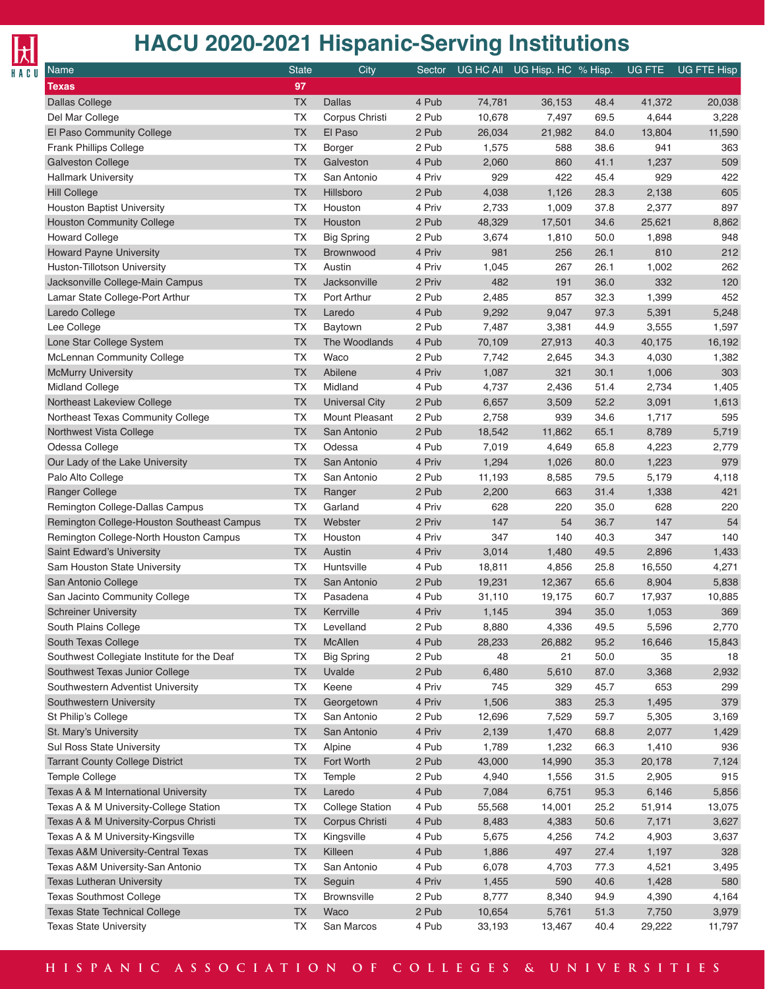

| Name                                                      | <b>State</b> | City                    | Sector |                  | UG HC All UG Hisp. HC % Hisp. |      | UG FTE          | <b>UG FTE Hisp</b> |
|-----------------------------------------------------------|--------------|-------------------------|--------|------------------|-------------------------------|------|-----------------|--------------------|
| Texas                                                     | 97           |                         |        |                  |                               |      |                 |                    |
| <b>Dallas College</b>                                     | <b>TX</b>    | <b>Dallas</b>           | 4 Pub  | 74,781           | 36,153                        | 48.4 | 41,372          | 20,038             |
| Del Mar College                                           | <b>TX</b>    | Corpus Christi          | 2 Pub  | 10,678           | 7,497                         | 69.5 | 4,644           | 3,228              |
| El Paso Community College                                 | <b>TX</b>    | El Paso                 | 2 Pub  | 26,034           | 21,982                        | 84.0 | 13,804          | 11,590             |
| <b>Frank Phillips College</b>                             | TX           | <b>Borger</b>           | 2 Pub  | 1,575            | 588                           | 38.6 | 941             | 363                |
| <b>Galveston College</b>                                  | <b>TX</b>    | Galveston               | 4 Pub  | 2,060            | 860                           | 41.1 | 1,237           | 509                |
| <b>Hallmark University</b>                                | <b>TX</b>    | San Antonio             | 4 Priv | 929              | 422                           | 45.4 | 929             | 422                |
| <b>Hill College</b>                                       | <b>TX</b>    | Hillsboro               | 2 Pub  | 4,038            | 1,126                         | 28.3 | 2,138           | 605                |
| Houston Baptist University                                | TX           | Houston                 | 4 Priv | 2,733            | 1,009                         | 37.8 | 2,377           | 897                |
| <b>Houston Community College</b>                          | <b>TX</b>    | Houston                 | 2 Pub  | 48,329           | 17,501                        | 34.6 | 25,621          | 8,862              |
| <b>Howard College</b>                                     | <b>TX</b>    | <b>Big Spring</b>       | 2 Pub  | 3,674            | 1,810                         | 50.0 | 1,898           | 948                |
| <b>Howard Payne University</b>                            | <b>TX</b>    | Brownwood               | 4 Priv | 981              | 256                           | 26.1 | 810             | 212                |
| Huston-Tillotson University                               | TX           | Austin                  | 4 Priv | 1,045            | 267                           | 26.1 | 1,002           | 262                |
| Jacksonville College-Main Campus                          | <b>TX</b>    | Jacksonville            | 2 Priv | 482              | 191                           | 36.0 | 332             | 120                |
| Lamar State College-Port Arthur                           | <b>TX</b>    | Port Arthur             | 2 Pub  | 2,485            | 857                           | 32.3 | 1,399           | 452                |
| Laredo College                                            | <b>TX</b>    | Laredo                  | 4 Pub  | 9,292            | 9,047                         | 97.3 | 5,391           | 5,248              |
| Lee College                                               | TX           | Baytown                 | 2 Pub  | 7,487            | 3,381                         | 44.9 | 3,555           | 1,597              |
| Lone Star College System                                  | <b>TX</b>    | The Woodlands           | 4 Pub  | 70,109           | 27,913                        | 40.3 | 40,175          | 16,192             |
| McLennan Community College                                | TX           | Waco                    | 2 Pub  | 7,742            | 2,645                         | 34.3 | 4,030           | 1,382              |
| <b>McMurry University</b>                                 | <b>TX</b>    | Abilene                 | 4 Priv | 1,087            | 321                           | 30.1 | 1,006           | 303                |
| <b>Midland College</b>                                    | TX           | Midland                 | 4 Pub  | 4,737            | 2,436                         | 51.4 | 2,734           | 1,405              |
| Northeast Lakeview College                                | <b>TX</b>    | Universal City          | 2 Pub  | 6,657            | 3,509                         | 52.2 | 3,091           | 1,613              |
| Northeast Texas Community College                         | <b>TX</b>    | Mount Pleasant          | 2 Pub  | 2,758            | 939                           | 34.6 | 1,717           | 595                |
| Northwest Vista College                                   | <b>TX</b>    | San Antonio             | 2 Pub  | 18,542           | 11,862                        | 65.1 | 8,789           | 5,719              |
| Odessa College                                            | TX           | Odessa                  | 4 Pub  | 7,019            | 4,649                         | 65.8 | 4,223           | 2,779              |
| Our Lady of the Lake University                           | <b>TX</b>    | San Antonio             | 4 Priv | 1,294            | 1,026                         | 80.0 | 1,223           | 979                |
| Palo Alto College                                         | TX           | San Antonio             | 2 Pub  | 11,193           | 8,585                         | 79.5 | 5,179           | 4,118              |
| <b>Ranger College</b>                                     | <b>TX</b>    | Ranger                  | 2 Pub  | 2,200            | 663                           | 31.4 | 1,338           | 421                |
| Remington College-Dallas Campus                           | TX           | Garland                 | 4 Priv | 628              | 220                           | 35.0 | 628             | 220                |
| Remington College-Houston Southeast Campus                | <b>TX</b>    | Webster                 | 2 Priv | 147              | 54                            | 36.7 | 147             | 54                 |
|                                                           | <b>TX</b>    | Houston                 | 4 Priv | 347              | 140                           | 40.3 | 347             | 140                |
| Remington College-North Houston Campus                    | <b>TX</b>    | Austin                  | 4 Priv | 3,014            | 1,480                         | 49.5 | 2,896           |                    |
| Saint Edward's University<br>Sam Houston State University | TX           | Huntsville              | 4 Pub  |                  |                               | 25.8 |                 | 1,433              |
|                                                           | <b>TX</b>    |                         | 2 Pub  | 18,811<br>19,231 | 4,856<br>12,367               | 65.6 | 16,550<br>8,904 | 4,271<br>5,838     |
| San Antonio College<br>San Jacinto Community College      | TX           | San Antonio<br>Pasadena | 4 Pub  | 31,110           |                               | 60.7 |                 |                    |
|                                                           | <b>TX</b>    | Kerrville               | 4 Priv | 1,145            | 19,175<br>394                 | 35.0 | 17,937<br>1,053 | 10,885<br>369      |
| <b>Schreiner University</b><br>South Plains College       | <b>TX</b>    | Levelland               | 2 Pub  | 8,880            |                               | 49.5 |                 |                    |
|                                                           |              |                         |        |                  | 4,336                         |      | 5,596           | 2,770              |
| South Texas College                                       | <b>TX</b>    | <b>McAllen</b>          | 4 Pub  | 28,233           | 26,882                        | 95.2 | 16,646          | 15,843             |
| Southwest Collegiate Institute for the Deaf               | <b>TX</b>    | <b>Big Spring</b>       | 2 Pub  | 48               | 21                            | 50.0 | 35              | 18                 |
| Southwest Texas Junior College                            | <b>TX</b>    | Uvalde                  | 2 Pub  | 6,480            | 5,610                         | 87.0 | 3,368           | 2,932              |
| Southwestern Adventist University                         | <b>TX</b>    | Keene                   | 4 Priv | 745              | 329                           | 45.7 | 653             | 299                |
| Southwestern University                                   | TX           | Georgetown              | 4 Priv | 1,506            | 383                           | 25.3 | 1,495           | 379                |
| St Philip's College                                       | <b>TX</b>    | San Antonio             | 2 Pub  | 12,696           | 7,529                         | 59.7 | 5,305           | 3,169              |
| St. Mary's University                                     | <b>TX</b>    | San Antonio             | 4 Priv | 2,139            | 1,470                         | 68.8 | 2,077           | 1,429              |
| Sul Ross State University                                 | <b>TX</b>    | Alpine                  | 4 Pub  | 1,789            | 1,232                         | 66.3 | 1,410           | 936                |
| <b>Tarrant County College District</b>                    | <b>TX</b>    | Fort Worth              | 2 Pub  | 43,000           | 14,990                        | 35.3 | 20,178          | 7,124              |
| Temple College                                            | <b>TX</b>    | Temple                  | 2 Pub  | 4,940            | 1,556                         | 31.5 | 2,905           | 915                |
| Texas A & M International University                      | <b>TX</b>    | Laredo                  | 4 Pub  | 7,084            | 6,751                         | 95.3 | 6,146           | 5,856              |
| Texas A & M University-College Station                    | <b>TX</b>    | <b>College Station</b>  | 4 Pub  | 55,568           | 14,001                        | 25.2 | 51,914          | 13,075             |
| Texas A & M University-Corpus Christi                     | TX           | Corpus Christi          | 4 Pub  | 8,483            | 4,383                         | 50.6 | 7,171           | 3,627              |
| Texas A & M University-Kingsville                         | <b>TX</b>    | Kingsville              | 4 Pub  | 5,675            | 4,256                         | 74.2 | 4,903           | 3,637              |
| <b>Texas A&amp;M University-Central Texas</b>             | TX           | Killeen                 | 4 Pub  | 1,886            | 497                           | 27.4 | 1,197           | 328                |
| Texas A&M University-San Antonio                          | <b>TX</b>    | San Antonio             | 4 Pub  | 6,078            | 4,703                         | 77.3 | 4,521           | 3,495              |
| <b>Texas Lutheran University</b>                          | TX           | Seguin                  | 4 Priv | 1,455            | 590                           | 40.6 | 1,428           | 580                |
| <b>Texas Southmost College</b>                            | <b>TX</b>    | Brownsville             | 2 Pub  | 8,777            | 8,340                         | 94.9 | 4,390           | 4,164              |
| <b>Texas State Technical College</b>                      | <b>TX</b>    | Waco                    | 2 Pub  | 10,654           | 5,761                         | 51.3 | 7,750           | 3,979              |
| <b>Texas State University</b>                             | <b>TX</b>    | San Marcos              | 4 Pub  | 33,193           | 13,467                        | 40.4 | 29,222          | 11,797             |